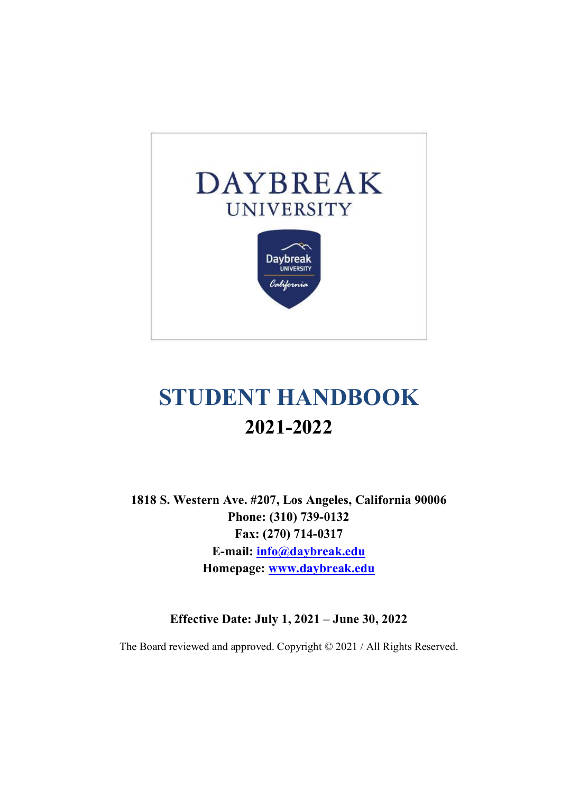

# **STUDENT HANDBOOK 2021-2022**

**1818 S. Western Ave. #207, Los Angeles, California 90006 Phone: (310) 739-0132 Fax: (270) 714-0317 E-mail: info@daybreak.edu Homepage: www.daybreak.edu**

**Effective Date: July 1, 2021 – June 30, 2022**

The Board reviewed and approved. Copyright © 2021 / All Rights Reserved.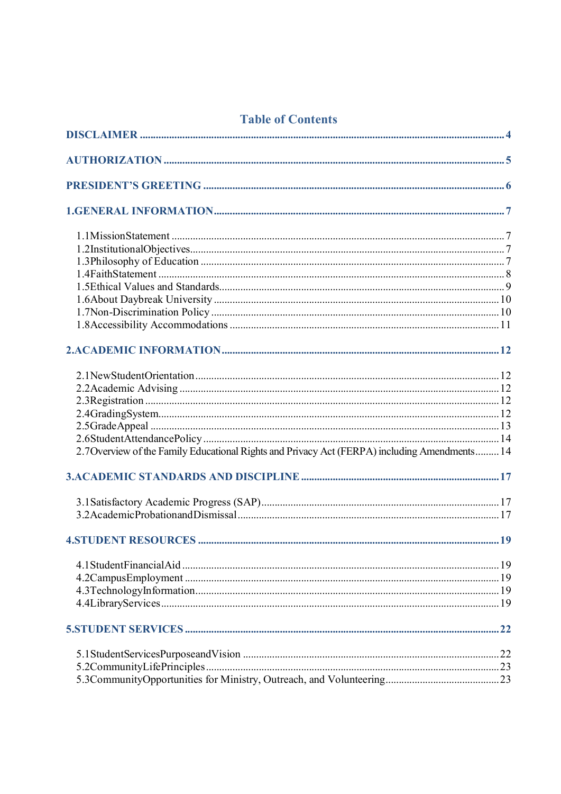# **Table of Contents**

| 2.7 Overview of the Family Educational Rights and Privacy Act (FERPA) including Amendments 14 |  |
|-----------------------------------------------------------------------------------------------|--|
|                                                                                               |  |
|                                                                                               |  |
|                                                                                               |  |
|                                                                                               |  |
|                                                                                               |  |
|                                                                                               |  |
|                                                                                               |  |
|                                                                                               |  |
|                                                                                               |  |
|                                                                                               |  |
|                                                                                               |  |
|                                                                                               |  |
|                                                                                               |  |
|                                                                                               |  |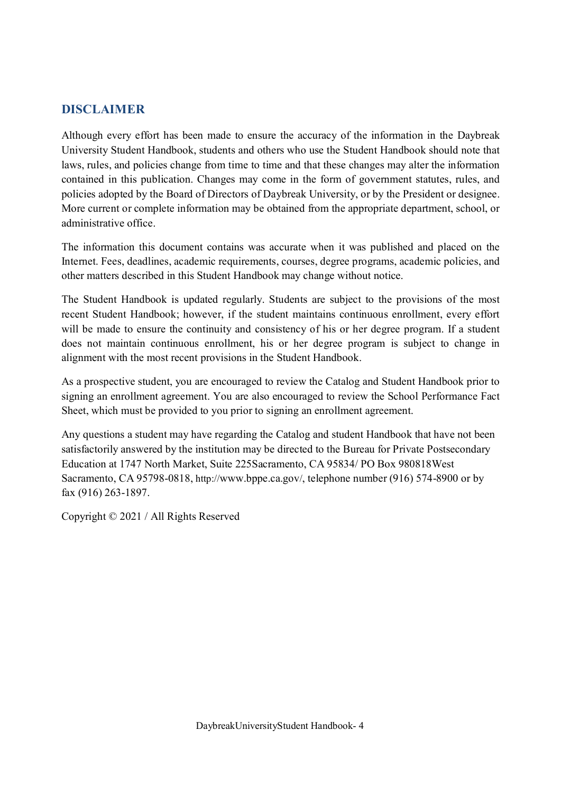# **DISCLAIMER**

Although every effort has been made to ensure the accuracy of the information in the Daybreak University Student Handbook, students and others who use the Student Handbook should note that laws, rules, and policies change from time to time and that these changes may alter the information contained in this publication. Changes may come in the form of government statutes, rules, and policies adopted by the Board of Directors of Daybreak University, or by the President or designee. More current or complete information may be obtained from the appropriate department, school, or administrative office.

The information this document contains was accurate when it was published and placed on the Internet. Fees, deadlines, academic requirements, courses, degree programs, academic policies, and other matters described in this Student Handbook may change without notice.

The Student Handbook is updated regularly. Students are subject to the provisions of the most recent Student Handbook; however, if the student maintains continuous enrollment, every effort will be made to ensure the continuity and consistency of his or her degree program. If a student does not maintain continuous enrollment, his or her degree program is subject to change in alignment with the most recent provisions in the Student Handbook.

As a prospective student, you are encouraged to review the Catalog and Student Handbook prior to signing an enrollment agreement. You are also encouraged to review the School Performance Fact Sheet, which must be provided to you prior to signing an enrollment agreement.

Any questions a student may have regarding the Catalog and student Handbook that have not been satisfactorily answered by the institution may be directed to the Bureau for Private Postsecondary Education at 1747 North Market, Suite 225Sacramento, CA 95834/ PO Box 980818West Sacramento, CA 95798-0818, http://www.bppe.ca.gov/, telephone number (916) 574-8900 or by fax (916) 263-1897.

Copyright © 2021 / All Rights Reserved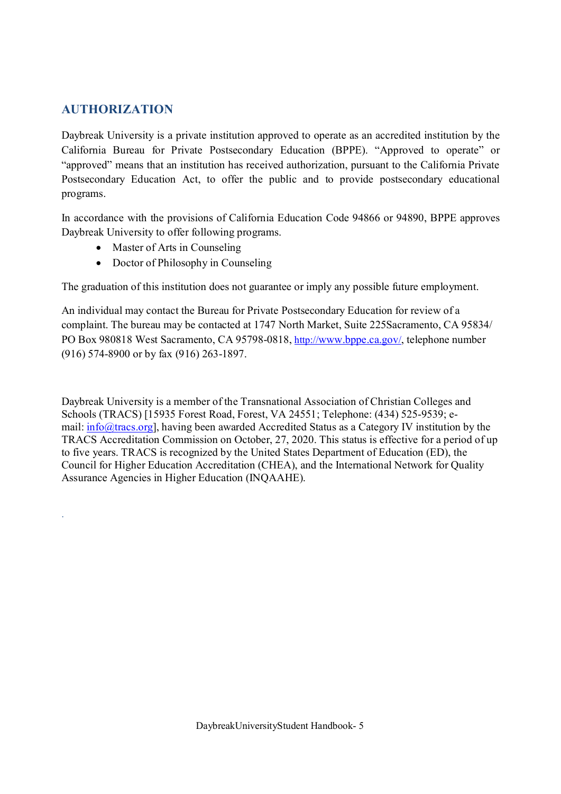# **AUTHORIZATION**

.

Daybreak University is a private institution approved to operate as an accredited institution by the California Bureau for Private Postsecondary Education (BPPE). "Approved to operate" or "approved" means that an institution has received authorization, pursuant to the California Private Postsecondary Education Act, to offer the public and to provide postsecondary educational programs.

In accordance with the provisions of California Education Code 94866 or 94890, BPPE approves Daybreak University to offer following programs.

- Master of Arts in Counseling
- Doctor of Philosophy in Counseling

The graduation of this institution does not guarantee or imply any possible future employment.

An individual may contact the Bureau for Private Postsecondary Education for review of a complaint. The bureau may be contacted at 1747 North Market, Suite 225Sacramento, CA 95834/ PO Box 980818 West Sacramento, CA 95798-0818, http://www.bppe.ca.gov/, telephone number (916) 574-8900 or by fax (916) 263-1897.

Daybreak University is a member of the Transnational Association of Christian Colleges and Schools (TRACS) [15935 Forest Road, Forest, VA 24551; Telephone: (434) 525-9539; email: info@tracs.org], having been awarded Accredited Status as a Category IV institution by the TRACS Accreditation Commission on October, 27, 2020. This status is effective for a period of up to five years. TRACS is recognized by the United States Department of Education (ED), the Council for Higher Education Accreditation (CHEA), and the International Network for Quality Assurance Agencies in Higher Education (INQAAHE).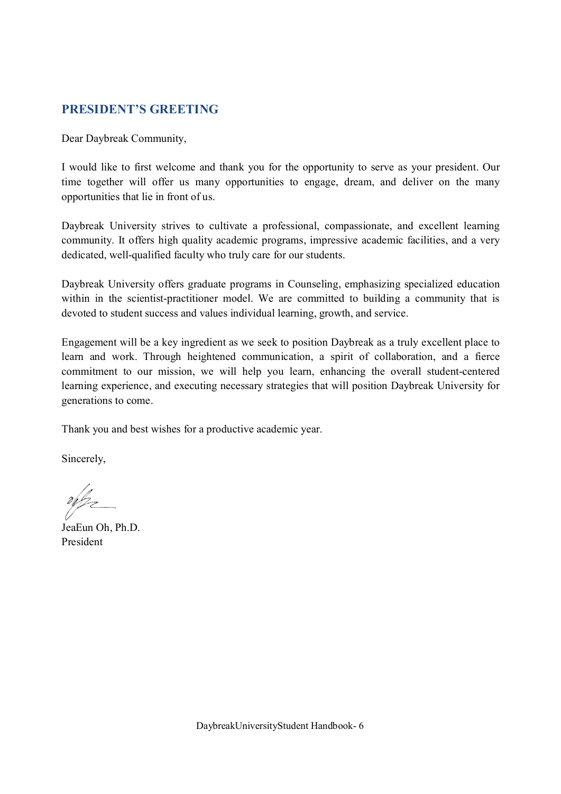# **PRESIDENT'S GREETING**

Dear Daybreak Community,

I would like to first welcome and thank you for the opportunity to serve as your president. Our time together will offer us many opportunities to engage, dream, and deliver on the many opportunities that lie in front of us.

Daybreak University strives to cultivate a professional, compassionate, and excellent learning community. It offers high quality academic programs, impressive academic facilities, and a very dedicated, well-qualified faculty who truly care for our students.

Daybreak University offers graduate programs in Counseling, emphasizing specialized education within in the scientist-practitioner model. We are committed to building a community that is devoted to student success and values individual learning, growth, and service.

Engagement will be a key ingredient as we seek to position Daybreak as a truly excellent place to learn and work. Through heightened communication, a spirit of collaboration, and a fierce commitment to our mission, we will help you learn, enhancing the overall student-centered learning experience, and executing necessary strategies that will position Daybreak University for generations to come.

Thank you and best wishes for a productive academic year.

Sincerely,

JeaEun Oh, Ph.D. President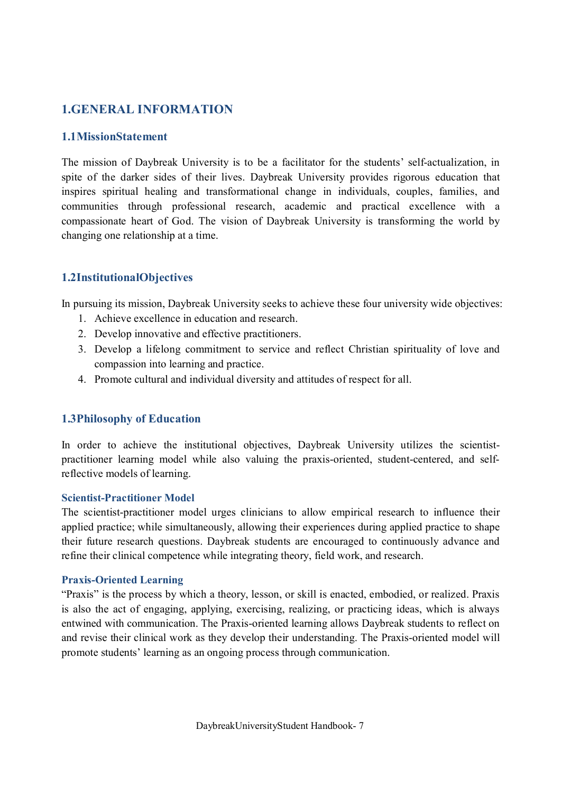# **1.GENERAL INFORMATION**

# **1.1MissionStatement**

The mission of Daybreak University is to be a facilitator for the students' self-actualization, in spite of the darker sides of their lives. Daybreak University provides rigorous education that inspires spiritual healing and transformational change in individuals, couples, families, and communities through professional research, academic and practical excellence with a compassionate heart of God. The vision of Daybreak University is transforming the world by changing one relationship at a time.

# **1.2InstitutionalObjectives**

In pursuing its mission, Daybreak University seeks to achieve these four university wide objectives:

- 1. Achieve excellence in education and research.
- 2. Develop innovative and effective practitioners.
- 3. Develop a lifelong commitment to service and reflect Christian spirituality of love and compassion into learning and practice.
- 4. Promote cultural and individual diversity and attitudes of respect for all.

### **1.3Philosophy of Education**

In order to achieve the institutional objectives, Daybreak University utilizes the scientistpractitioner learning model while also valuing the praxis-oriented, student-centered, and selfreflective models of learning.

#### **Scientist-Practitioner Model**

The scientist-practitioner model urges clinicians to allow empirical research to influence their applied practice; while simultaneously, allowing their experiences during applied practice to shape their future research questions. Daybreak students are encouraged to continuously advance and refine their clinical competence while integrating theory, field work, and research.

#### **Praxis-Oriented Learning**

"Praxis" is the process by which a theory, lesson, or skill is enacted, embodied, or realized. Praxis is also the act of engaging, applying, exercising, realizing, or practicing ideas, which is always entwined with communication. The Praxis-oriented learning allows Daybreak students to reflect on and revise their clinical work as they develop their understanding. The Praxis-oriented model will promote students' learning as an ongoing process through communication.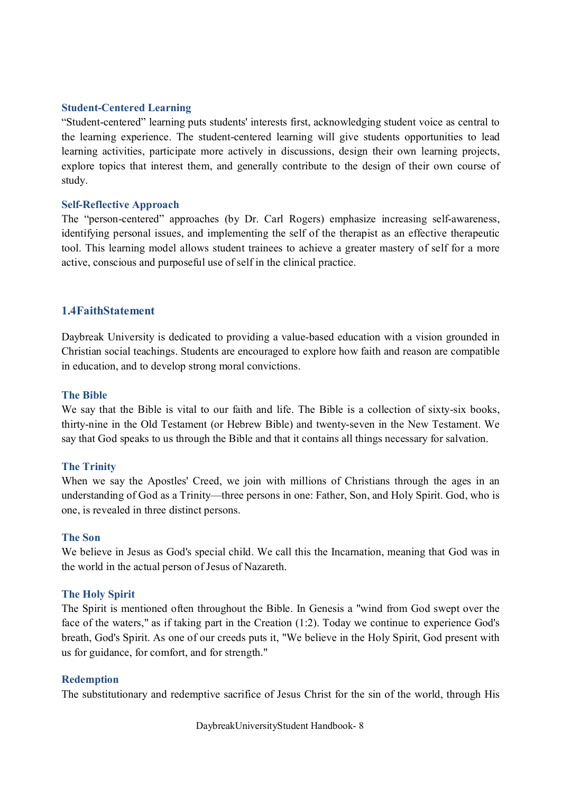#### **Student-Centered Learning**

"Student-centered" learning puts students' interests first, acknowledging student voice as central to the learning experience. The student-centered learning will give students opportunities to lead learning activities, participate more actively in discussions, design their own learning projects, explore topics that interest them, and generally contribute to the design of their own course of study.

#### **Self-Reflective Approach**

The "person-centered" approaches (by Dr. Carl Rogers) emphasize increasing self-awareness, identifying personal issues, and implementing the self of the therapist as an effective therapeutic tool. This learning model allows student trainees to achieve a greater mastery of self for a more active, conscious and purposeful use of self in the clinical practice.

#### **1.4FaithStatement**

Daybreak University is dedicated to providing a value-based education with a vision grounded in Christian social teachings. Students are encouraged to explore how faith and reason are compatible in education, and to develop strong moral convictions.

#### **The Bible**

We say that the Bible is vital to our faith and life. The Bible is a collection of sixty-six books, thirty-nine in the Old Testament (or Hebrew Bible) and twenty-seven in the New Testament. We say that God speaks to us through the Bible and that it contains all things necessary for salvation.

#### **The Trinity**

When we say the Apostles' Creed, we join with millions of Christians through the ages in an understanding of God as a Trinity—three persons in one: Father, Son, and Holy Spirit. God, who is one, is revealed in three distinct persons.

#### **The Son**

We believe in Jesus as God's special child. We call this the Incarnation, meaning that God was in the world in the actual person of Jesus of Nazareth.

#### **The Holy Spirit**

The Spirit is mentioned often throughout the Bible. In Genesis a "wind from God swept over the face of the waters," as if taking part in the Creation (1:2). Today we continue to experience God's breath, God's Spirit. As one of our creeds puts it, "We believe in the Holy Spirit, God present with us for guidance, for comfort, and for strength."

#### **Redemption**

The substitutionary and redemptive sacrifice of Jesus Christ for the sin of the world, through His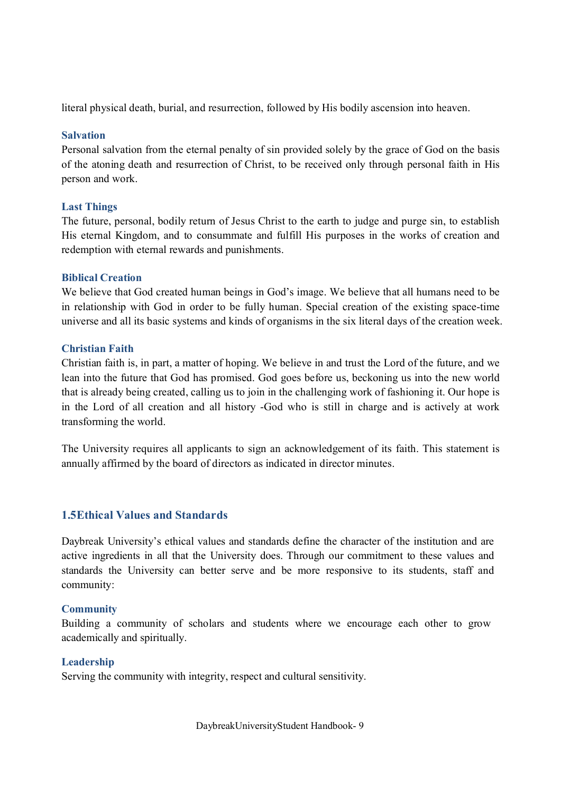literal physical death, burial, and resurrection, followed by His bodily ascension into heaven.

#### **Salvation**

Personal salvation from the eternal penalty of sin provided solely by the grace of God on the basis of the atoning death and resurrection of Christ, to be received only through personal faith in His person and work.

### **Last Things**

The future, personal, bodily return of Jesus Christ to the earth to judge and purge sin, to establish His eternal Kingdom, and to consummate and fulfill His purposes in the works of creation and redemption with eternal rewards and punishments.

#### **Biblical Creation**

We believe that God created human beings in God's image. We believe that all humans need to be in relationship with God in order to be fully human. Special creation of the existing space-time universe and all its basic systems and kinds of organisms in the six literal days of the creation week.

#### **Christian Faith**

Christian faith is, in part, a matter of hoping. We believe in and trust the Lord of the future, and we lean into the future that God has promised. God goes before us, beckoning us into the new world that is already being created, calling us to join in the challenging work of fashioning it. Our hope is in the Lord of all creation and all history -God who is still in charge and is actively at work transforming the world.

The University requires all applicants to sign an acknowledgement of its faith. This statement is annually affirmed by the board of directors as indicated in director minutes.

### **1.5Ethical Values and Standards**

Daybreak University's ethical values and standards define the character of the institution and are active ingredients in all that the University does. Through our commitment to these values and standards the University can better serve and be more responsive to its students, staff and community:

### **Community**

Building a community of scholars and students where we encourage each other to grow academically and spiritually.

### **Leadership**

Serving the community with integrity, respect and cultural sensitivity.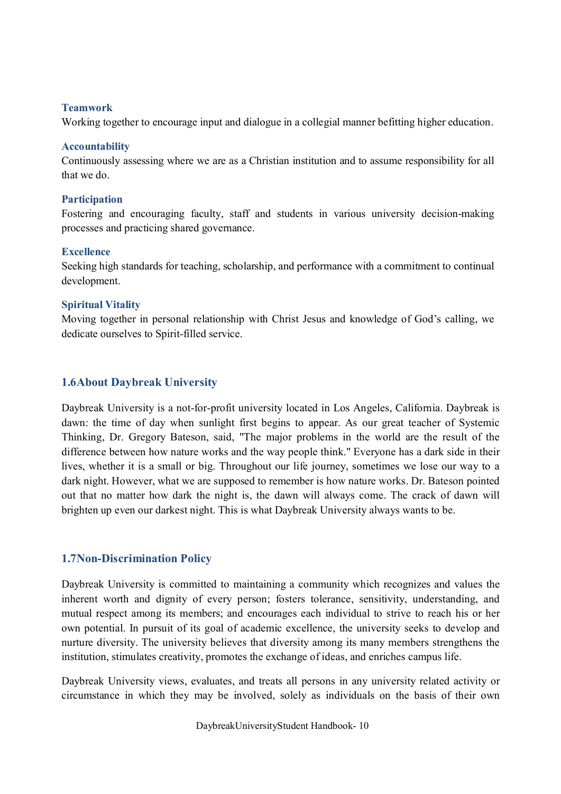#### **Teamwork**

Working together to encourage input and dialogue in a collegial manner befitting higher education.

#### **Accountability**

Continuously assessing where we are as a Christian institution and to assume responsibility for all that we do.

#### **Participation**

Fostering and encouraging faculty, staff and students in various university decision-making processes and practicing shared governance.

#### **Excellence**

Seeking high standards for teaching, scholarship, and performance with a commitment to continual development.

### **Spiritual Vitality**

Moving together in personal relationship with Christ Jesus and knowledge of God's calling, we dedicate ourselves to Spirit-filled service.

# **1.6About Daybreak University**

Daybreak University is a not-for-profit university located in Los Angeles, California. Daybreak is dawn: the time of day when sunlight first begins to appear. As our great teacher of Systemic Thinking, Dr. Gregory Bateson, said, "The major problems in the world are the result of the difference between how nature works and the way people think." Everyone has a dark side in their lives, whether it is a small or big. Throughout our life journey, sometimes we lose our way to a dark night. However, what we are supposed to remember is how nature works. Dr. Bateson pointed out that no matter how dark the night is, the dawn will always come. The crack of dawn will brighten up even our darkest night. This is what Daybreak University always wants to be.

# **1.7Non-Discrimination Policy**

Daybreak University is committed to maintaining a community which recognizes and values the inherent worth and dignity of every person; fosters tolerance, sensitivity, understanding, and mutual respect among its members; and encourages each individual to strive to reach his or her own potential. In pursuit of its goal of academic excellence, the university seeks to develop and nurture diversity. The university believes that diversity among its many members strengthens the institution, stimulates creativity, promotes the exchange of ideas, and enriches campus life.

Daybreak University views, evaluates, and treats all persons in any university related activity or circumstance in which they may be involved, solely as individuals on the basis of their own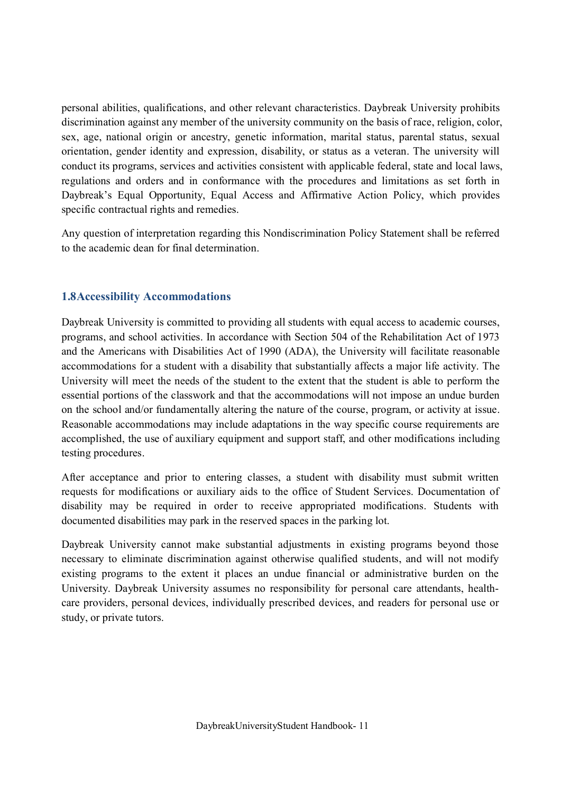personal abilities, qualifications, and other relevant characteristics. Daybreak University prohibits discrimination against any member of the university community on the basis of race, religion, color, sex, age, national origin or ancestry, genetic information, marital status, parental status, sexual orientation, gender identity and expression, disability, or status as a veteran. The university will conduct its programs, services and activities consistent with applicable federal, state and local laws, regulations and orders and in conformance with the procedures and limitations as set forth in Daybreak's Equal Opportunity, Equal Access and Affirmative Action Policy, which provides specific contractual rights and remedies.

Any question of interpretation regarding this Nondiscrimination Policy Statement shall be referred to the academic dean for final determination.

# **1.8Accessibility Accommodations**

Daybreak University is committed to providing all students with equal access to academic courses, programs, and school activities. In accordance with Section 504 of the Rehabilitation Act of 1973 and the Americans with Disabilities Act of 1990 (ADA), the University will facilitate reasonable accommodations for a student with a disability that substantially affects a major life activity. The University will meet the needs of the student to the extent that the student is able to perform the essential portions of the classwork and that the accommodations will not impose an undue burden on the school and/or fundamentally altering the nature of the course, program, or activity at issue. Reasonable accommodations may include adaptations in the way specific course requirements are accomplished, the use of auxiliary equipment and support staff, and other modifications including testing procedures.

After acceptance and prior to entering classes, a student with disability must submit written requests for modifications or auxiliary aids to the office of Student Services. Documentation of disability may be required in order to receive appropriated modifications. Students with documented disabilities may park in the reserved spaces in the parking lot.

Daybreak University cannot make substantial adjustments in existing programs beyond those necessary to eliminate discrimination against otherwise qualified students, and will not modify existing programs to the extent it places an undue financial or administrative burden on the University. Daybreak University assumes no responsibility for personal care attendants, healthcare providers, personal devices, individually prescribed devices, and readers for personal use or study, or private tutors.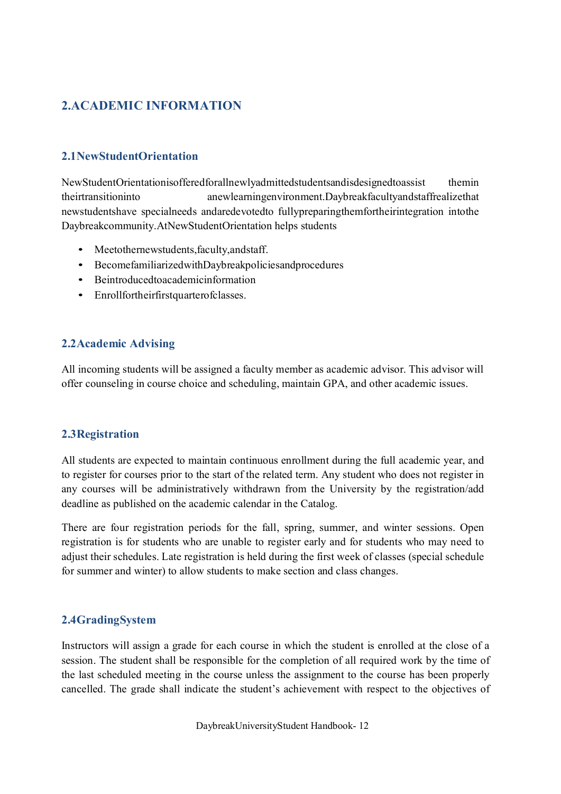# **2.ACADEMIC INFORMATION**

# **2.1NewStudentOrientation**

NewStudentOrientationisofferedforallnewlyadmittedstudentsandisdesignedtoassist themin theirtransitioninto anewlearningenvironment.Daybreakfacultyandstaffrealizethat newstudentshave specialneeds andaredevotedto fullypreparingthemfortheirintegration intothe Daybreakcommunity.AtNewStudentOrientation helps students

- Meetothernewstudents,faculty,andstaff.
- BecomefamiliarizedwithDaybreakpoliciesandprocedures
- Beintroducedtoacademicinformation
- Enrollfortheirfirstquarterofclasses.

# **2.2Academic Advising**

All incoming students will be assigned a faculty member as academic advisor. This advisor will offer counseling in course choice and scheduling, maintain GPA, and other academic issues.

### **2.3Registration**

All students are expected to maintain continuous enrollment during the full academic year, and to register for courses prior to the start of the related term. Any student who does not register in any courses will be administratively withdrawn from the University by the registration/add deadline as published on the academic calendar in the Catalog.

There are four registration periods for the fall, spring, summer, and winter sessions. Open registration is for students who are unable to register early and for students who may need to adjust their schedules. Late registration is held during the first week of classes (special schedule for summer and winter) to allow students to make section and class changes.

### **2.4GradingSystem**

Instructors will assign a grade for each course in which the student is enrolled at the close of a session. The student shall be responsible for the completion of all required work by the time of the last scheduled meeting in the course unless the assignment to the course has been properly cancelled. The grade shall indicate the student's achievement with respect to the objectives of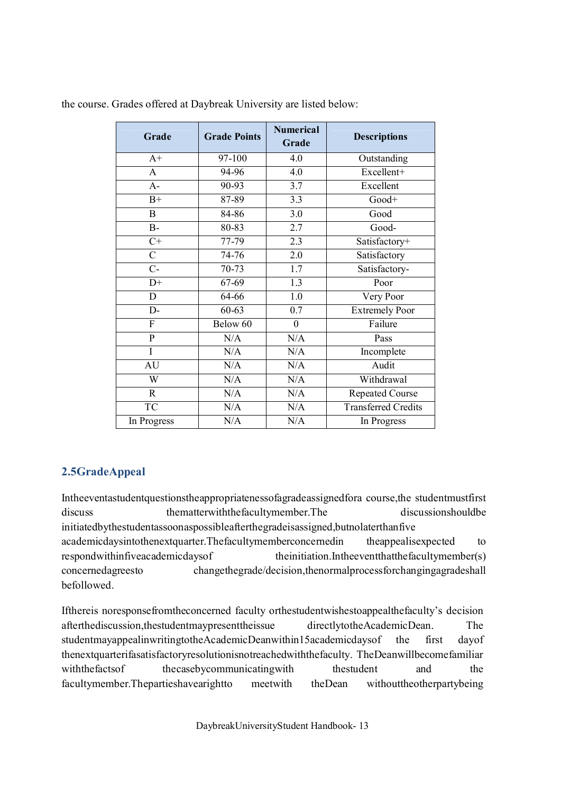| Grade           | <b>Grade Points</b> | <b>Numerical</b><br>Grade | <b>Descriptions</b>        |
|-----------------|---------------------|---------------------------|----------------------------|
| $A+$            | 97-100              | 4.0                       | Outstanding                |
| $\mathbf{A}$    | 94-96               | 4.0                       | Excellent+                 |
| $A-$            | 90-93               | 3.7                       | Excellent                  |
| $B+$            | 87-89               | 3.3                       | Good+                      |
| B               | 84-86               | 3.0                       | Good                       |
| $B-$            | 80-83               | 2.7                       | Good-                      |
| $\overline{C+}$ | $77 - 79$           | 2.3                       | Satisfactory+              |
| $\mathcal{C}$   | 74-76               | 2.0                       | Satisfactory               |
| $C-$            | 70-73               | $\overline{1.7}$          | Satisfactory-              |
| $D+$            | $67 - 69$           | $\overline{1.3}$          | Poor                       |
| D               | 64-66               | 1.0                       | Very Poor                  |
| D-              | 60-63               | 0.7                       | <b>Extremely Poor</b>      |
| F               | Below 60            | $\boldsymbol{0}$          | Failure                    |
| P               | N/A                 | N/A                       | Pass                       |
| I               | N/A                 | N/A                       | Incomplete                 |
| AU              | N/A                 | N/A                       | Audit                      |
| W               | N/A                 | N/A                       | Withdrawal                 |
| $\mathbf R$     | N/A                 | N/A                       | <b>Repeated Course</b>     |
| TC              | N/A                 | N/A                       | <b>Transferred Credits</b> |
| In Progress     | N/A                 | N/A                       | In Progress                |

the course. Grades offered at Daybreak University are listed below:

# **2.5GradeAppeal**

Intheeventastudentquestionstheappropriatenessofagradeassignedfora course,the studentmustfirst discuss thematterwiththefacultymember.The discussionshouldbe initiatedbythestudentassoonaspossibleafterthegradeisassigned,butnolaterthanfive academicdaysintothenextquarter.Thefacultymemberconcernedin theappealisexpected to respondwithinfiveacademicdaysof theinitiation.Intheeventthatthefacultymember(s) concernedagreesto changethegrade/decision,thenormalprocessforchangingagradeshall befollowed.

Ifthereis noresponsefromtheconcerned faculty orthestudentwishestoappealthefaculty's decision afterthediscussion,thestudentmaypresenttheissue directlytotheAcademicDean. The studentmayappealinwritingtotheAcademicDeanwithin15academicdaysof the first dayof thenextquarterifasatisfactoryresolutionisnotreachedwiththefaculty. TheDeanwillbecomefamiliar with the facts of the case by communicating with the student and the the facultymember.Thepartieshavearightto meetwith theDean withouttheotherpartybeing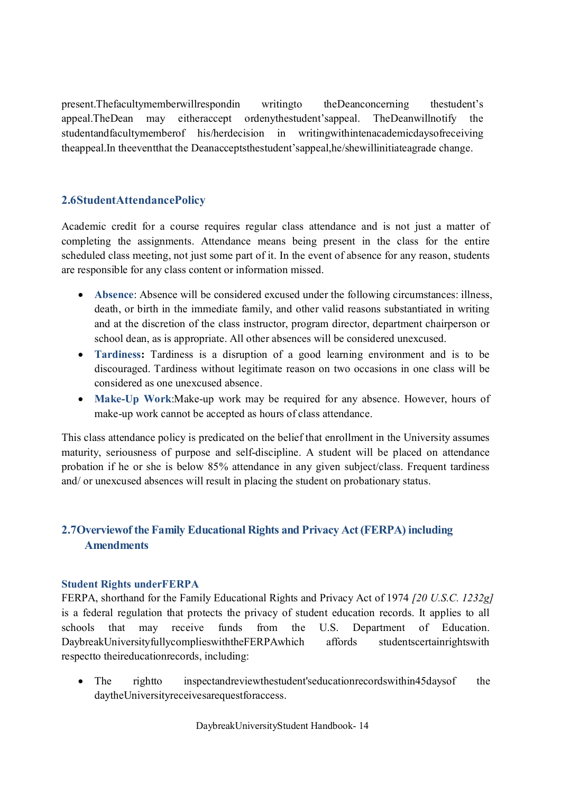present.Thefacultymemberwillrespondin writingto theDeanconcerning thestudent's appeal.TheDean may eitheraccept ordenythestudent'sappeal. TheDeanwillnotify the studentandfacultymemberof his/herdecision in writingwithintenacademicdaysofreceiving theappeal.In theeventthat the Deanacceptsthestudent'sappeal,he/shewillinitiateagrade change.

# **2.6StudentAttendancePolicy**

Academic credit for a course requires regular class attendance and is not just a matter of completing the assignments. Attendance means being present in the class for the entire scheduled class meeting, not just some part of it. In the event of absence for any reason, students are responsible for any class content or information missed.

- · **Absence**: Absence will be considered excused under the following circumstances: illness, death, or birth in the immediate family, and other valid reasons substantiated in writing and at the discretion of the class instructor, program director, department chairperson or school dean, as is appropriate. All other absences will be considered unexcused.
- · **Tardiness:** Tardiness is a disruption of a good learning environment and is to be discouraged. Tardiness without legitimate reason on two occasions in one class will be considered as one unexcused absence.
- · **Make-Up Work**:Make-up work may be required for any absence. However, hours of make-up work cannot be accepted as hours of class attendance.

This class attendance policy is predicated on the belief that enrollment in the University assumes maturity, seriousness of purpose and self-discipline. A student will be placed on attendance probation if he or she is below 85% attendance in any given subject/class. Frequent tardiness and/ or unexcused absences will result in placing the student on probationary status.

# **2.7Overviewof the Family Educational Rights and Privacy Act(FERPA) including Amendments**

### **Student Rights underFERPA**

FERPA, shorthand for the Family Educational Rights and Privacy Act of 1974 *[20 U.S.C. 1232g]* is a federal regulation that protects the privacy of student education records. It applies to all schools that may receive funds from the U.S. Department of Education. DaybreakUniversityfullycomplieswiththeFERPAwhich affords studentscertainrightswith respectto theireducationrecords, including:

The rightto inspectandreviewthestudent'seducationrecordswithin45daysof the daytheUniversityreceivesarequestforaccess.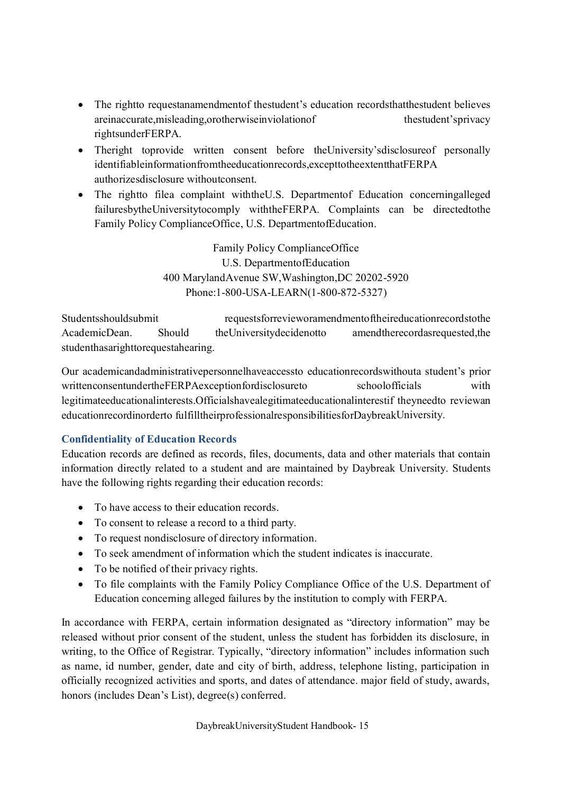- The rightto requestanamendmentof thestudent's education recordsthatthestudent believes areinaccurate,misleading,orotherwiseinviolationof thestudent'sprivacy rightsunderFERPA.
- Theright toprovide written consent before the University's disclosure of personally identifiableinformationfromtheeducationrecords,excepttotheextentthatFERPA authorizesdisclosure withoutconsent.
- The rightto filea complaint with the U.S. Department of Education concerningalleged failuresbytheUniversitytocomply withtheFERPA. Complaints can be directedtothe Family Policy ComplianceOffice, U.S. DepartmentofEducation.

Family Policy ComplianceOffice U.S. DepartmentofEducation 400 MarylandAvenue SW,Washington,DC 20202-5920 Phone:1-800-USA-LEARN(1-800-872-5327)

Studentsshouldsubmit requestsforrevieworamendmentoftheireducationrecordstothe AcademicDean. Should theUniversitydecidenotto amendtherecordasrequested,the studenthasarighttorequestahearing.

Our academicandadministrativepersonnelhaveaccessto educationrecordswithouta student's prior writtenconsentundertheFERPAexceptionfordisclosureto schoolofficials with legitimateeducationalinterests.Officialshavealegitimateeducationalinterestif theyneedto reviewan educationrecordinorderto fulfilltheirprofessionalresponsibilitiesforDaybreakUniversity.

# **Confidentiality of Education Records**

Education records are defined as records, files, documents, data and other materials that contain information directly related to a student and are maintained by Daybreak University. Students have the following rights regarding their education records:

- To have access to their education records.
- · To consent to release a record to a third party.
- · To request nondisclosure of directory information.
- · To seek amendment of information which the student indicates is inaccurate.
- · To be notified of their privacy rights.
- · To file complaints with the Family Policy Compliance Office of the U.S. Department of Education concerning alleged failures by the institution to comply with FERPA.

In accordance with FERPA, certain information designated as "directory information" may be released without prior consent of the student, unless the student has forbidden its disclosure, in writing, to the Office of Registrar. Typically, "directory information" includes information such as name, id number, gender, date and city of birth, address, telephone listing, participation in officially recognized activities and sports, and dates of attendance. major field of study, awards, honors (includes Dean's List), degree(s) conferred.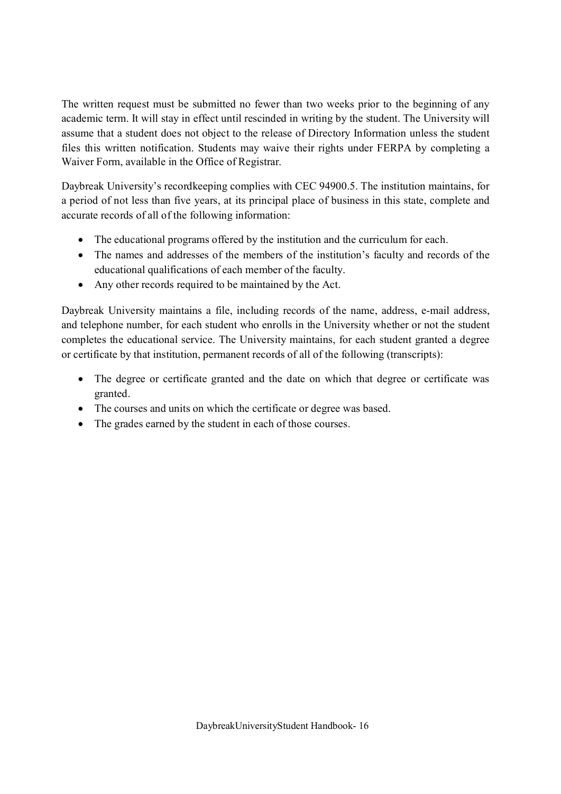The written request must be submitted no fewer than two weeks prior to the beginning of any academic term. It will stay in effect until rescinded in writing by the student. The University will assume that a student does not object to the release of Directory Information unless the student files this written notification. Students may waive their rights under FERPA by completing a Waiver Form, available in the Office of Registrar.

Daybreak University's recordkeeping complies with CEC 94900.5. The institution maintains, for a period of not less than five years, at its principal place of business in this state, complete and accurate records of all of the following information:

- · The educational programs offered by the institution and the curriculum for each.
- The names and addresses of the members of the institution's faculty and records of the educational qualifications of each member of the faculty.
- · Any other records required to be maintained by the Act.

Daybreak University maintains a file, including records of the name, address, e-mail address, and telephone number, for each student who enrolls in the University whether or not the student completes the educational service. The University maintains, for each student granted a degree or certificate by that institution, permanent records of all of the following (transcripts):

- · The degree or certificate granted and the date on which that degree or certificate was granted.
- · The courses and units on which the certificate or degree was based.
- The grades earned by the student in each of those courses.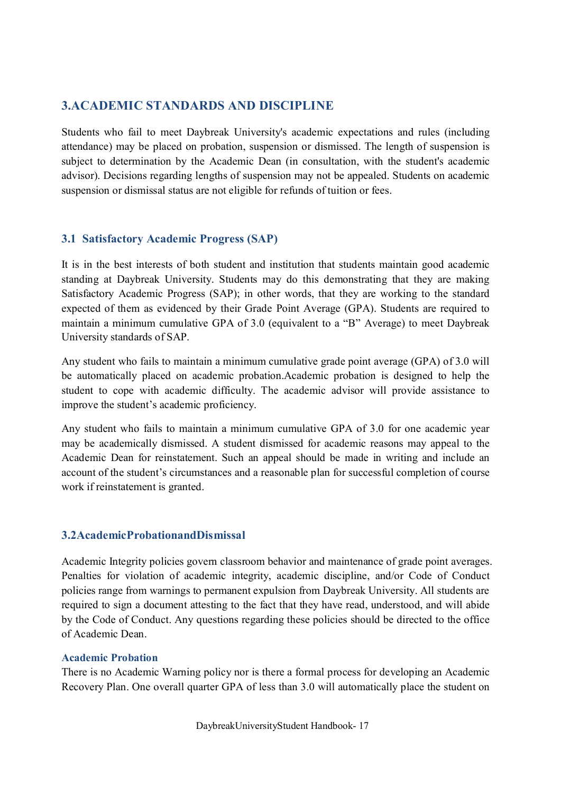# **3.ACADEMIC STANDARDS AND DISCIPLINE**

Students who fail to meet Daybreak University's academic expectations and rules (including attendance) may be placed on probation, suspension or dismissed. The length of suspension is subject to determination by the Academic Dean (in consultation, with the student's academic advisor). Decisions regarding lengths of suspension may not be appealed. Students on academic suspension or dismissal status are not eligible for refunds of tuition or fees.

# **3.1 Satisfactory Academic Progress (SAP)**

It is in the best interests of both student and institution that students maintain good academic standing at Daybreak University. Students may do this demonstrating that they are making Satisfactory Academic Progress (SAP); in other words, that they are working to the standard expected of them as evidenced by their Grade Point Average (GPA). Students are required to maintain a minimum cumulative GPA of 3.0 (equivalent to a "B" Average) to meet Daybreak University standards of SAP.

Any student who fails to maintain a minimum cumulative grade point average (GPA) of 3.0 will be automatically placed on academic probation.Academic probation is designed to help the student to cope with academic difficulty. The academic advisor will provide assistance to improve the student's academic proficiency.

Any student who fails to maintain a minimum cumulative GPA of 3.0 for one academic year may be academically dismissed. A student dismissed for academic reasons may appeal to the Academic Dean for reinstatement. Such an appeal should be made in writing and include an account of the student's circumstances and a reasonable plan for successful completion of course work if reinstatement is granted.

### **3.2AcademicProbationandDismissal**

Academic Integrity policies govern classroom behavior and maintenance of grade point averages. Penalties for violation of academic integrity, academic discipline, and/or Code of Conduct policies range from warnings to permanent expulsion from Daybreak University. All students are required to sign a document attesting to the fact that they have read, understood, and will abide by the Code of Conduct. Any questions regarding these policies should be directed to the office of Academic Dean.

### **Academic Probation**

There is no Academic Warning policy nor is there a formal process for developing an Academic Recovery Plan. One overall quarter GPA of less than 3.0 will automatically place the student on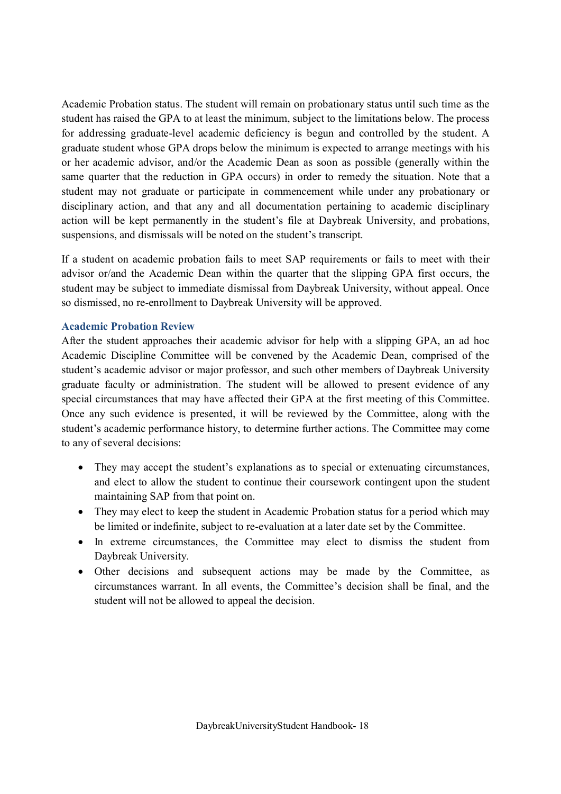Academic Probation status. The student will remain on probationary status until such time as the student has raised the GPA to at least the minimum, subject to the limitations below. The process for addressing graduate-level academic deficiency is begun and controlled by the student. A graduate student whose GPA drops below the minimum is expected to arrange meetings with his or her academic advisor, and/or the Academic Dean as soon as possible (generally within the same quarter that the reduction in GPA occurs) in order to remedy the situation. Note that a student may not graduate or participate in commencement while under any probationary or disciplinary action, and that any and all documentation pertaining to academic disciplinary action will be kept permanently in the student's file at Daybreak University, and probations, suspensions, and dismissals will be noted on the student's transcript.

If a student on academic probation fails to meet SAP requirements or fails to meet with their advisor or/and the Academic Dean within the quarter that the slipping GPA first occurs, the student may be subject to immediate dismissal from Daybreak University, without appeal. Once so dismissed, no re-enrollment to Daybreak University will be approved.

#### **Academic Probation Review**

After the student approaches their academic advisor for help with a slipping GPA, an ad hoc Academic Discipline Committee will be convened by the Academic Dean, comprised of the student's academic advisor or major professor, and such other members of Daybreak University graduate faculty or administration. The student will be allowed to present evidence of any special circumstances that may have affected their GPA at the first meeting of this Committee. Once any such evidence is presented, it will be reviewed by the Committee, along with the student's academic performance history, to determine further actions. The Committee may come to any of several decisions:

- They may accept the student's explanations as to special or extenuating circumstances, and elect to allow the student to continue their coursework contingent upon the student maintaining SAP from that point on.
- They may elect to keep the student in Academic Probation status for a period which may be limited or indefinite, subject to re-evaluation at a later date set by the Committee.
- In extreme circumstances, the Committee may elect to dismiss the student from Daybreak University.
- Other decisions and subsequent actions may be made by the Committee, as circumstances warrant. In all events, the Committee's decision shall be final, and the student will not be allowed to appeal the decision.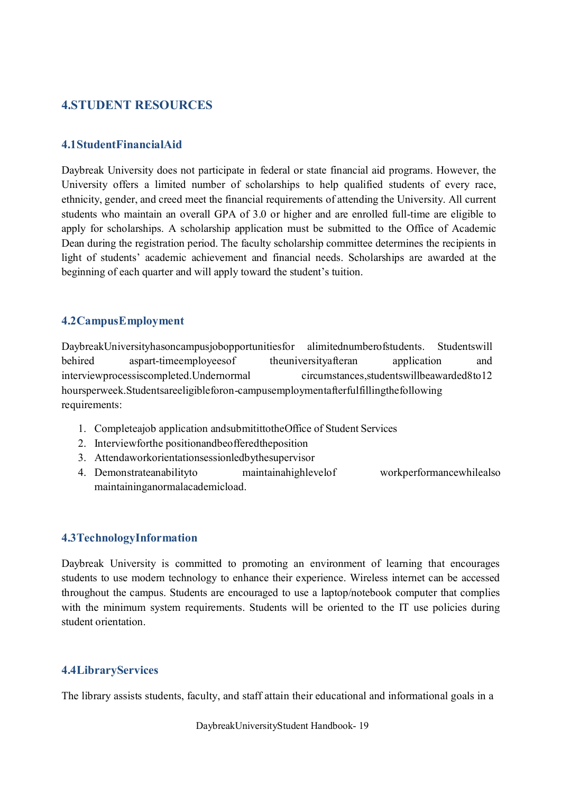# **4.STUDENT RESOURCES**

### **4.1StudentFinancialAid**

Daybreak University does not participate in federal or state financial aid programs. However, the University offers a limited number of scholarships to help qualified students of every race, ethnicity, gender, and creed meet the financial requirements of attending the University. All current students who maintain an overall GPA of 3.0 or higher and are enrolled full-time are eligible to apply for scholarships. A scholarship application must be submitted to the Office of Academic Dean during the registration period. The faculty scholarship committee determines the recipients in light of students' academic achievement and financial needs. Scholarships are awarded at the beginning of each quarter and will apply toward the student's tuition.

#### **4.2CampusEmployment**

DaybreakUniversityhasoncampusjobopportunitiesfor alimitednumberofstudents. Studentswill behired aspart-timeemployeesof theuniversityafteran application and interviewprocessiscompleted.Undernormal circumstances,studentswillbeawarded8to12 hoursperweek.Studentsareeligibleforon-campusemploymentafterfulfillingthefollowing requirements:

- 1. Completeajob application andsubmitittotheOffice of Student Services
- 2. Interviewforthe positionandbeofferedtheposition
- 3. Attendaworkorientationsessionledbythesupervisor
- 4. Demonstrateanabilityto maintainahighlevelof workperformancewhilealso maintaininganormalacademicload.

#### **4.3TechnologyInformation**

Daybreak University is committed to promoting an environment of learning that encourages students to use modern technology to enhance their experience. Wireless internet can be accessed throughout the campus. Students are encouraged to use a laptop/notebook computer that complies with the minimum system requirements. Students will be oriented to the IT use policies during student orientation.

#### **4.4LibraryServices**

The library assists students, faculty, and staff attain their educational and informational goals in a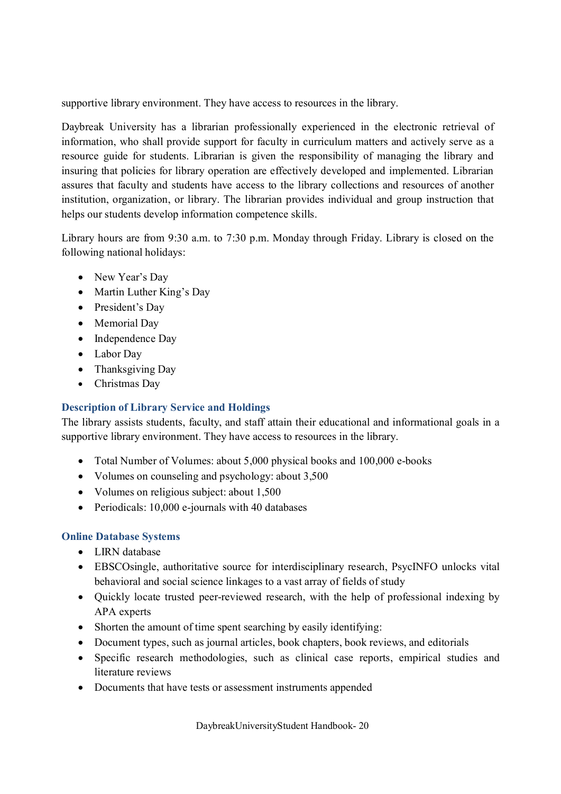supportive library environment. They have access to resources in the library.

Daybreak University has a librarian professionally experienced in the electronic retrieval of information, who shall provide support for faculty in curriculum matters and actively serve as a resource guide for students. Librarian is given the responsibility of managing the library and insuring that policies for library operation are effectively developed and implemented. Librarian assures that faculty and students have access to the library collections and resources of another institution, organization, or library. The librarian provides individual and group instruction that helps our students develop information competence skills.

Library hours are from 9:30 a.m. to 7:30 p.m. Monday through Friday. Library is closed on the following national holidays:

- New Year's Day
- Martin Luther King's Day
- President's Day
- Memorial Day
- Independence Day
- · Labor Day
- Thanksgiving Day
- · Christmas Day

# **Description of Library Service and Holdings**

The library assists students, faculty, and staff attain their educational and informational goals in a supportive library environment. They have access to resources in the library.

- Total Number of Volumes: about 5,000 physical books and 100,000 e-books
- Volumes on counseling and psychology: about 3,500
- Volumes on religious subject: about 1,500
- Periodicals: 10,000 e-journals with 40 databases

# **Online Database Systems**

- LIRN database
- · EBSCOsingle, authoritative source for interdisciplinary research, PsycINFO unlocks vital behavioral and social science linkages to a vast array of fields of study
- · Quickly locate trusted peer-reviewed research, with the help of professional indexing by APA experts
- Shorten the amount of time spent searching by easily identifying:
- · Document types, such as journal articles, book chapters, book reviews, and editorials
- · Specific research methodologies, such as clinical case reports, empirical studies and literature reviews
- Documents that have tests or assessment instruments appended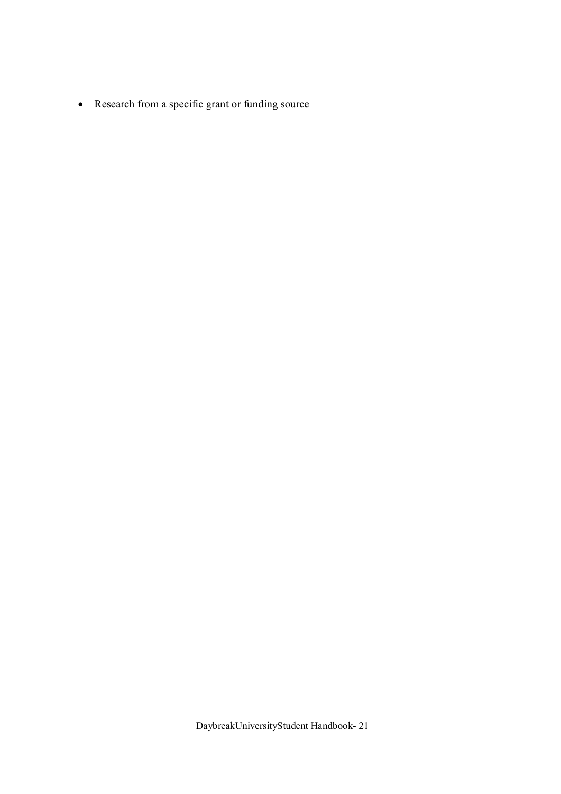· Research from a specific grant or funding source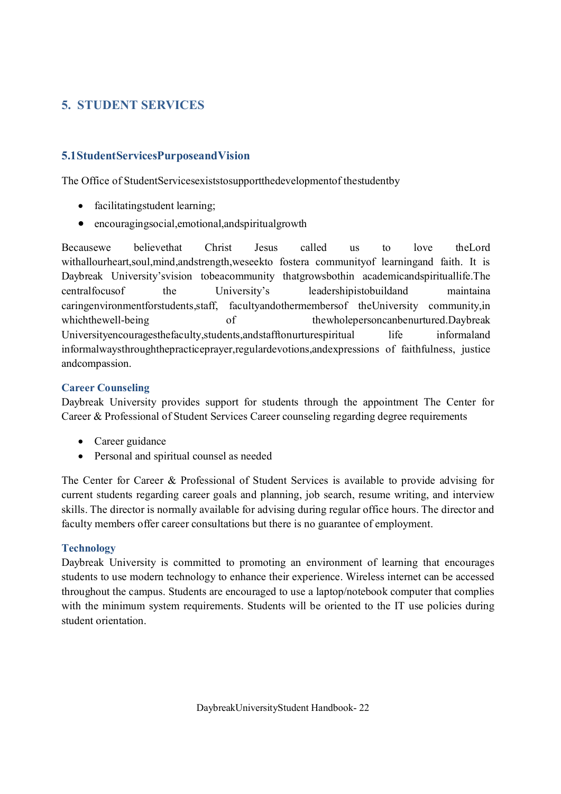# **5. STUDENT SERVICES**

# **5.1StudentServicesPurposeandVision**

The Office of StudentServicesexiststosupportthedevelopmentof thestudentby

- facilitatingstudent learning;
- encouragingsocial, emotional, and spiritual growth

Becausewe believethat Christ Jesus called us to love theLord withallourheart,soul,mind,andstrength,weseekto fostera communityof learningand faith. It is Daybreak University'svision tobeacommunity thatgrowsbothin academicandspirituallife.The centralfocusof the University's leadershipistobuildand maintaina caringenvironmentforstudents,staff, facultyandothermembersof theUniversity community,in which the well-being of the whole personcanbenurtured. Daybreak Universityencouragesthefaculty, students, and stafftonurtures piritual life informaland informalwaysthroughthepracticeprayer,regulardevotions,andexpressions of faithfulness, justice andcompassion.

### **Career Counseling**

Daybreak University provides support for students through the appointment The Center for Career & Professional of Student Services Career counseling regarding degree requirements

- Career guidance
- · Personal and spiritual counsel as needed

The Center for Career & Professional of Student Services is available to provide advising for current students regarding career goals and planning, job search, resume writing, and interview skills. The director is normally available for advising during regular office hours. The director and faculty members offer career consultations but there is no guarantee of employment.

### **Technology**

Daybreak University is committed to promoting an environment of learning that encourages students to use modern technology to enhance their experience. Wireless internet can be accessed throughout the campus. Students are encouraged to use a laptop/notebook computer that complies with the minimum system requirements. Students will be oriented to the IT use policies during student orientation.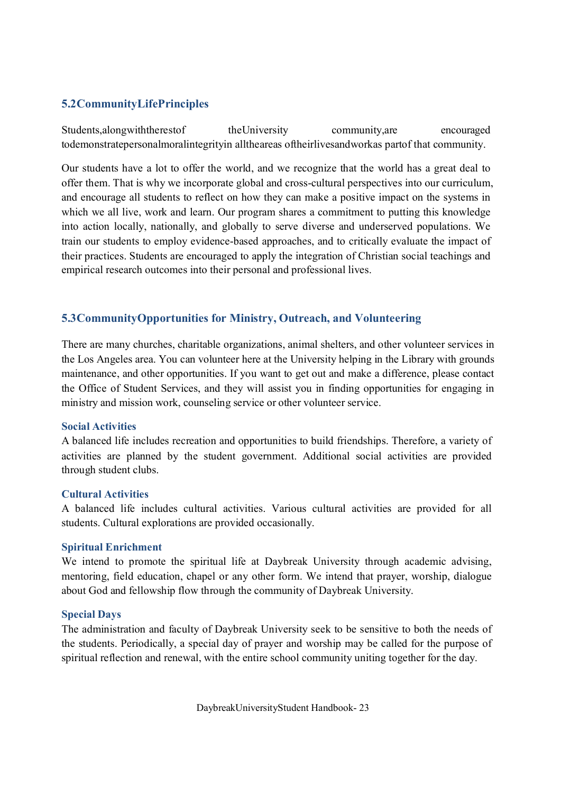# **5.2CommunityLifePrinciples**

Students,alongwiththerestof theUniversity community,are encouraged todemonstratepersonalmoralintegrityin alltheareas oftheirlivesandworkas partof that community.

Our students have a lot to offer the world, and we recognize that the world has a great deal to offer them. That is why we incorporate global and cross-cultural perspectives into our curriculum, and encourage all students to reflect on how they can make a positive impact on the systems in which we all live, work and learn. Our program shares a commitment to putting this knowledge into action locally, nationally, and globally to serve diverse and underserved populations. We train our students to employ evidence-based approaches, and to critically evaluate the impact of their practices. Students are encouraged to apply the integration of Christian social teachings and empirical research outcomes into their personal and professional lives.

# **5.3CommunityOpportunities for Ministry, Outreach, and Volunteering**

There are many churches, charitable organizations, animal shelters, and other volunteer services in the Los Angeles area. You can volunteer here at the University helping in the Library with grounds maintenance, and other opportunities. If you want to get out and make a difference, please contact the Office of Student Services, and they will assist you in finding opportunities for engaging in ministry and mission work, counseling service or other volunteer service.

#### **Social Activities**

A balanced life includes recreation and opportunities to build friendships. Therefore, a variety of activities are planned by the student government. Additional social activities are provided through student clubs.

### **Cultural Activities**

A balanced life includes cultural activities. Various cultural activities are provided for all students. Cultural explorations are provided occasionally.

#### **Spiritual Enrichment**

We intend to promote the spiritual life at Daybreak University through academic advising, mentoring, field education, chapel or any other form. We intend that prayer, worship, dialogue about God and fellowship flow through the community of Daybreak University.

#### **Special Days**

The administration and faculty of Daybreak University seek to be sensitive to both the needs of the students. Periodically, a special day of prayer and worship may be called for the purpose of spiritual reflection and renewal, with the entire school community uniting together for the day.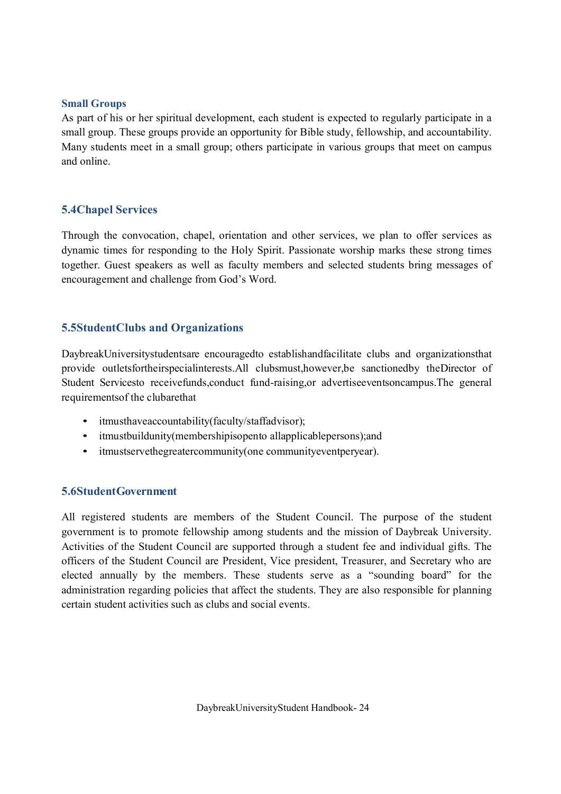#### **Small Groups**

As part of his or her spiritual development, each student is expected to regularly participate in a small group. These groups provide an opportunity for Bible study, fellowship, and accountability. Many students meet in a small group; others participate in various groups that meet on campus and online.

# **5.4Chapel Services**

Through the convocation, chapel, orientation and other services, we plan to offer services as dynamic times for responding to the Holy Spirit. Passionate worship marks these strong times together. Guest speakers as well as faculty members and selected students bring messages of encouragement and challenge from God's Word.

# **5.5StudentClubs and Organizations**

DaybreakUniversitystudentsare encouragedto establishandfacilitate clubs and organizationsthat provide outletsfortheirspecialinterests.All clubsmust,however,be sanctionedby theDirector of Student Servicesto receivefunds,conduct fund-raising,or advertiseeventsoncampus.The general requirementsof the clubarethat

- itmusthaveaccountability(faculty/staffadvisor);
- itmustbuildunity(membershipisopento allapplicablepersons);and
- itmustservethegreatercommunity(one communityeventperyear).

### **5.6StudentGovernment**

All registered students are members of the Student Council. The purpose of the student government is to promote fellowship among students and the mission of Daybreak University. Activities of the Student Council are supported through a student fee and individual gifts. The officers of the Student Council are President, Vice president, Treasurer, and Secretary who are elected annually by the members. These students serve as a "sounding board" for the administration regarding policies that affect the students. They are also responsible for planning certain student activities such as clubs and social events.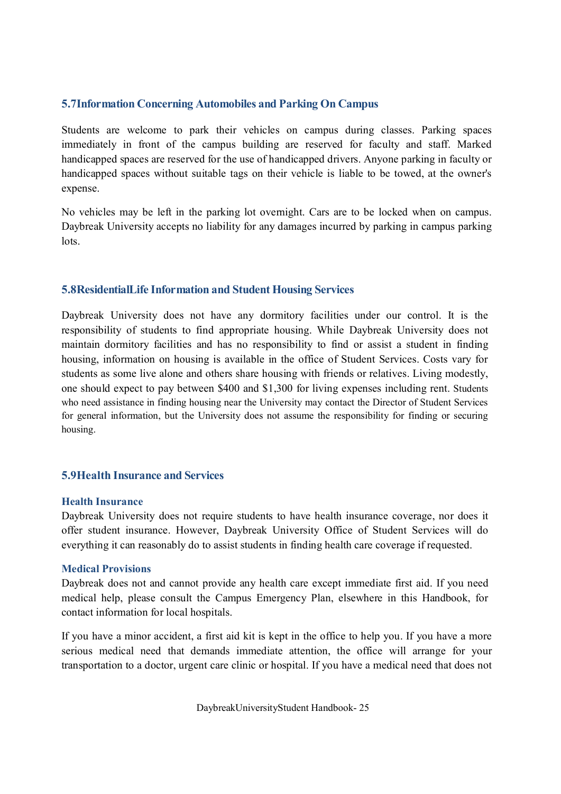### **5.7Information Concerning Automobiles and Parking On Campus**

Students are welcome to park their vehicles on campus during classes. Parking spaces immediately in front of the campus building are reserved for faculty and staff. Marked handicapped spaces are reserved for the use of handicapped drivers. Anyone parking in faculty or handicapped spaces without suitable tags on their vehicle is liable to be towed, at the owner's expense.

No vehicles may be left in the parking lot overnight. Cars are to be locked when on campus. Daybreak University accepts no liability for any damages incurred by parking in campus parking lots.

# **5.8ResidentialLife Information and Student Housing Services**

Daybreak University does not have any dormitory facilities under our control. It is the responsibility of students to find appropriate housing. While Daybreak University does not maintain dormitory facilities and has no responsibility to find or assist a student in finding housing, information on housing is available in the office of Student Services. Costs vary for students as some live alone and others share housing with friends or relatives. Living modestly, one should expect to pay between \$400 and \$1,300 for living expenses including rent. Students who need assistance in finding housing near the University may contact the Director of Student Services for general information, but the University does not assume the responsibility for finding or securing housing.

### **5.9Health Insurance and Services**

#### **Health Insurance**

Daybreak University does not require students to have health insurance coverage, nor does it offer student insurance. However, Daybreak University Office of Student Services will do everything it can reasonably do to assist students in finding health care coverage if requested.

#### **Medical Provisions**

Daybreak does not and cannot provide any health care except immediate first aid. If you need medical help, please consult the Campus Emergency Plan, elsewhere in this Handbook, for contact information for local hospitals.

If you have a minor accident, a first aid kit is kept in the office to help you. If you have a more serious medical need that demands immediate attention, the office will arrange for your transportation to a doctor, urgent care clinic or hospital. If you have a medical need that does not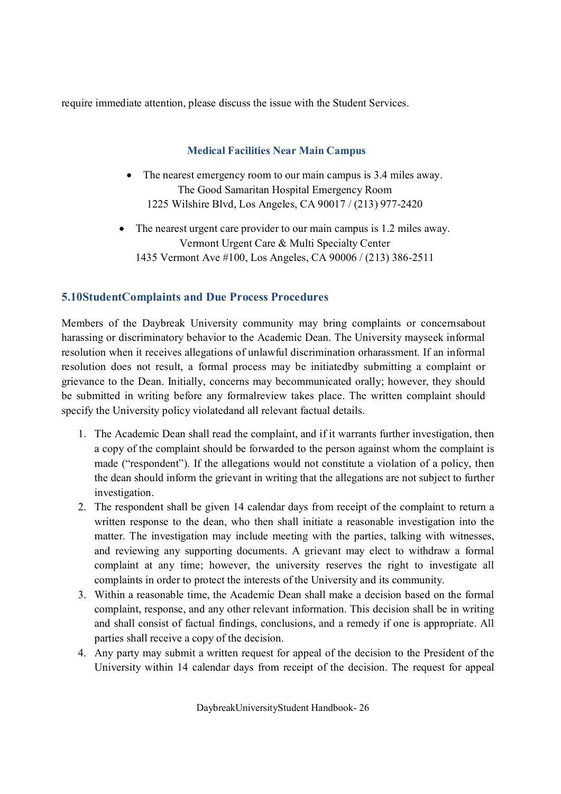require immediate attention, please discuss the issue with the Student Services.

### **Medical Facilities Near Main Campus**

The nearest emergency room to our main campus is 3.4 miles away. The Good Samaritan Hospital Emergency Room 1225 Wilshire Blvd, Los Angeles, CA 90017 / (213) 977-2420

• The nearest urgent care provider to our main campus is 1.2 miles away. Vermont Urgent Care & Multi Specialty Center 1435 Vermont Ave #100, Los Angeles, CA 90006 / (213) 386-2511

# **5.10StudentComplaints and Due Process Procedures**

Members of the Daybreak University community may bring complaints or concernsabout harassing or discriminatory behavior to the Academic Dean. The University mayseek informal resolution when it receives allegations of unlawful discrimination orharassment. If an informal resolution does not result, a formal process may be initiatedby submitting a complaint or grievance to the Dean. Initially, concerns may becommunicated orally; however, they should be submitted in writing before any formalreview takes place. The written complaint should specify the University policy violatedand all relevant factual details.

- 1. The Academic Dean shall read the complaint, and if it warrants further investigation, then a copy of the complaint should be forwarded to the person against whom the complaint is made ("respondent"). If the allegations would not constitute a violation of a policy, then the dean should inform the grievant in writing that the allegations are not subject to further investigation.
- 2. The respondent shall be given 14 calendar days from receipt of the complaint to return a written response to the dean, who then shall initiate a reasonable investigation into the matter. The investigation may include meeting with the parties, talking with witnesses, and reviewing any supporting documents. A grievant may elect to withdraw a formal complaint at any time; however, the university reserves the right to investigate all complaints in order to protect the interests of the University and its community.
- 3. Within a reasonable time, the Academic Dean shall make a decision based on the formal complaint, response, and any other relevant information. This decision shall be in writing and shall consist of factual findings, conclusions, and a remedy if one is appropriate. All parties shall receive a copy of the decision.
- 4. Any party may submit a written request for appeal of the decision to the President of the University within 14 calendar days from receipt of the decision. The request for appeal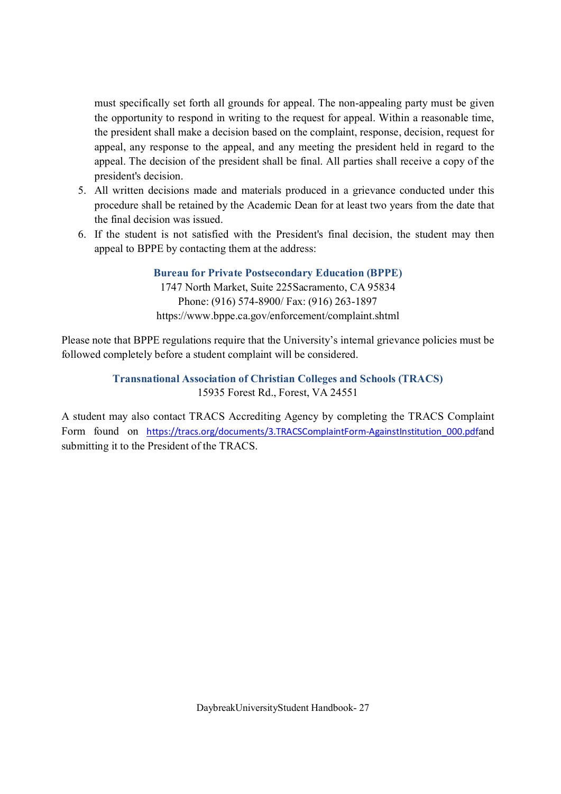must specifically set forth all grounds for appeal. The non-appealing party must be given the opportunity to respond in writing to the request for appeal. Within a reasonable time, the president shall make a decision based on the complaint, response, decision, request for appeal, any response to the appeal, and any meeting the president held in regard to the appeal. The decision of the president shall be final. All parties shall receive a copy of the president's decision.

- 5. All written decisions made and materials produced in a grievance conducted under this procedure shall be retained by the Academic Dean for at least two years from the date that the final decision was issued.
- 6. If the student is not satisfied with the President's final decision, the student may then appeal to BPPE by contacting them at the address:

**Bureau for Private Postsecondary Education (BPPE)** 1747 North Market, Suite 225Sacramento, CA 95834 Phone: (916) 574-8900/ Fax: (916) 263-1897 https://www.bppe.ca.gov/enforcement/complaint.shtml

Please note that BPPE regulations require that the University's internal grievance policies must be followed completely before a student complaint will be considered.

> **Transnational Association of Christian Colleges and Schools (TRACS)** 15935 Forest Rd., Forest, VA 24551

A student may also contact TRACS Accrediting Agency by completing the TRACS Complaint Form found on https://tracs.org/documents/3.TRACSComplaintForm-AgainstInstitution 000.pdfand submitting it to the President of the TRACS.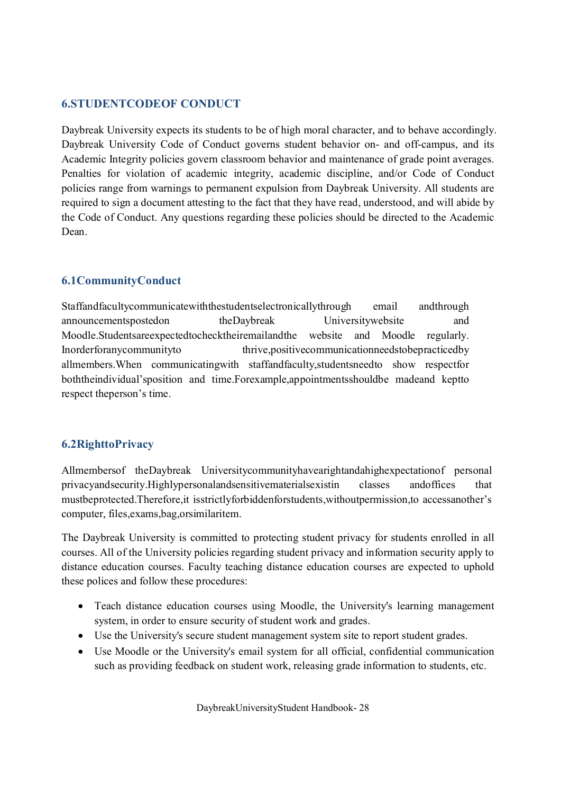# **6.STUDENTCODEOF CONDUCT**

Daybreak University expects its students to be of high moral character, and to behave accordingly. Daybreak University Code of Conduct governs student behavior on- and off-campus, and its Academic Integrity policies govern classroom behavior and maintenance of grade point averages. Penalties for violation of academic integrity, academic discipline, and/or Code of Conduct policies range from warnings to permanent expulsion from Daybreak University. All students are required to sign a document attesting to the fact that they have read, understood, and will abide by the Code of Conduct. Any questions regarding these policies should be directed to the Academic Dean.

# **6.1CommunityConduct**

Staffandfacultycommunicatewiththestudentselectronicallythrough email andthrough announcementspostedon theDaybreak Universitywebsite and Moodle.Studentsareexpectedtochecktheiremailandthe website and Moodle regularly. Inorderforanycommunityto thrive,positivecommunicationneedstobepracticedby allmembers.When communicatingwith staffandfaculty,studentsneedto show respectfor boththeindividual'sposition and time.Forexample,appointmentsshouldbe madeand keptto respect theperson's time.

# **6.2RighttoPrivacy**

Allmembersof theDaybreak Universitycommunityhavearightandahighexpectationof personal privacyandsecurity.Highlypersonalandsensitivematerialsexistin classes andoffices that mustbeprotected.Therefore,it isstrictlyforbiddenforstudents,withoutpermission,to accessanother's computer, files,exams,bag,orsimilaritem.

The Daybreak University is committed to protecting student privacy for students enrolled in all courses. All of the University policies regarding student privacy and information security apply to distance education courses. Faculty teaching distance education courses are expected to uphold these polices and follow these procedures:

- Teach distance education courses using Moodle, the University's learning management system, in order to ensure security of student work and grades.
- · Use the University's secure student management system site to report student grades.
- · Use Moodle or the University's email system for all official, confidential communication such as providing feedback on student work, releasing grade information to students, etc.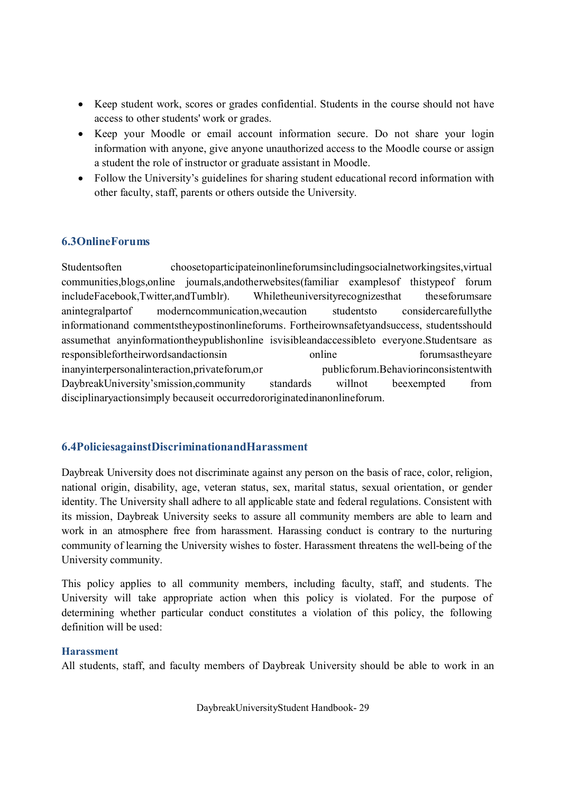- · Keep student work, scores or grades confidential. Students in the course should not have access to other students' work or grades.
- · Keep your Moodle or email account information secure. Do not share your login information with anyone, give anyone unauthorized access to the Moodle course or assign a student the role of instructor or graduate assistant in Moodle.
- Follow the University's guidelines for sharing student educational record information with other faculty, staff, parents or others outside the University.

# **6.3OnlineForums**

Studentsoften choosetoparticipateinonlineforumsincludingsocialnetworkingsites,virtual communities,blogs,online journals,andotherwebsites(familiar examplesof thistypeof forum includeFacebook,Twitter,andTumblr). Whiletheuniversityrecognizesthat theseforumsare anintegralpartof moderncommunication,wecaution studentsto considercarefullythe informationand commentstheypostinonlineforums. Fortheirownsafetyandsuccess, studentsshould assumethat anyinformationtheypublishonline isvisibleandaccessibleto everyone.Studentsare as responsiblefortheirwordsandactionsin online forumsastheyare inanyinterpersonalinteraction,privateforum,or publicforum.Behaviorinconsistentwith DaybreakUniversity'smission,community standards willnot beexempted from disciplinaryactionsimply becauseit occurredororiginatedinanonlineforum.

# **6.4PoliciesagainstDiscriminationandHarassment**

Daybreak University does not discriminate against any person on the basis of race, color, religion, national origin, disability, age, veteran status, sex, marital status, sexual orientation, or gender identity. The University shall adhere to all applicable state and federal regulations. Consistent with its mission, Daybreak University seeks to assure all community members are able to learn and work in an atmosphere free from harassment. Harassing conduct is contrary to the nurturing community of learning the University wishes to foster. Harassment threatens the well-being of the University community.

This policy applies to all community members, including faculty, staff, and students. The University will take appropriate action when this policy is violated. For the purpose of determining whether particular conduct constitutes a violation of this policy, the following definition will be used:

### **Harassment**

All students, staff, and faculty members of Daybreak University should be able to work in an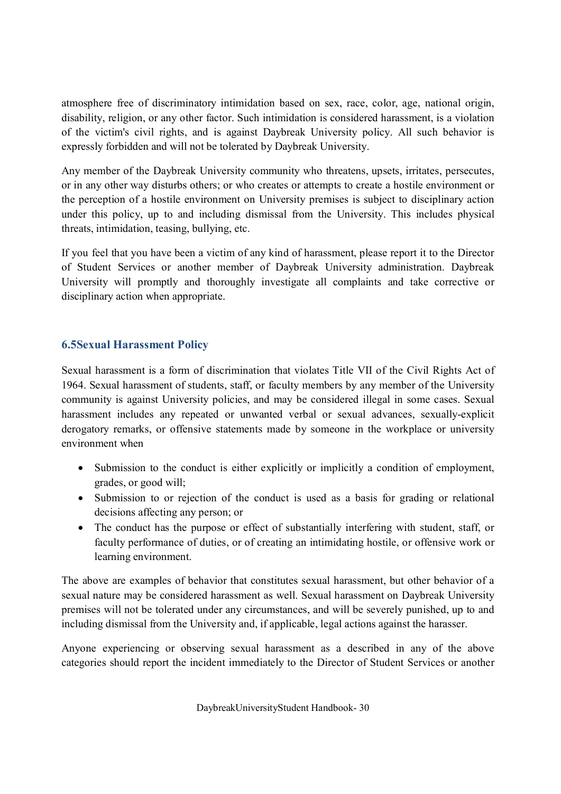atmosphere free of discriminatory intimidation based on sex, race, color, age, national origin, disability, religion, or any other factor. Such intimidation is considered harassment, is a violation of the victim's civil rights, and is against Daybreak University policy. All such behavior is expressly forbidden and will not be tolerated by Daybreak University.

Any member of the Daybreak University community who threatens, upsets, irritates, persecutes, or in any other way disturbs others; or who creates or attempts to create a hostile environment or the perception of a hostile environment on University premises is subject to disciplinary action under this policy, up to and including dismissal from the University. This includes physical threats, intimidation, teasing, bullying, etc.

If you feel that you have been a victim of any kind of harassment, please report it to the Director of Student Services or another member of Daybreak University administration. Daybreak University will promptly and thoroughly investigate all complaints and take corrective or disciplinary action when appropriate.

# **6.5Sexual Harassment Policy**

Sexual harassment is a form of discrimination that violates Title VII of the Civil Rights Act of 1964. Sexual harassment of students, staff, or faculty members by any member of the University community is against University policies, and may be considered illegal in some cases. Sexual harassment includes any repeated or unwanted verbal or sexual advances, sexually-explicit derogatory remarks, or offensive statements made by someone in the workplace or university environment when

- Submission to the conduct is either explicitly or implicitly a condition of employment, grades, or good will;
- Submission to or rejection of the conduct is used as a basis for grading or relational decisions affecting any person; or
- · The conduct has the purpose or effect of substantially interfering with student, staff, or faculty performance of duties, or of creating an intimidating hostile, or offensive work or learning environment.

The above are examples of behavior that constitutes sexual harassment, but other behavior of a sexual nature may be considered harassment as well. Sexual harassment on Daybreak University premises will not be tolerated under any circumstances, and will be severely punished, up to and including dismissal from the University and, if applicable, legal actions against the harasser.

Anyone experiencing or observing sexual harassment as a described in any of the above categories should report the incident immediately to the Director of Student Services or another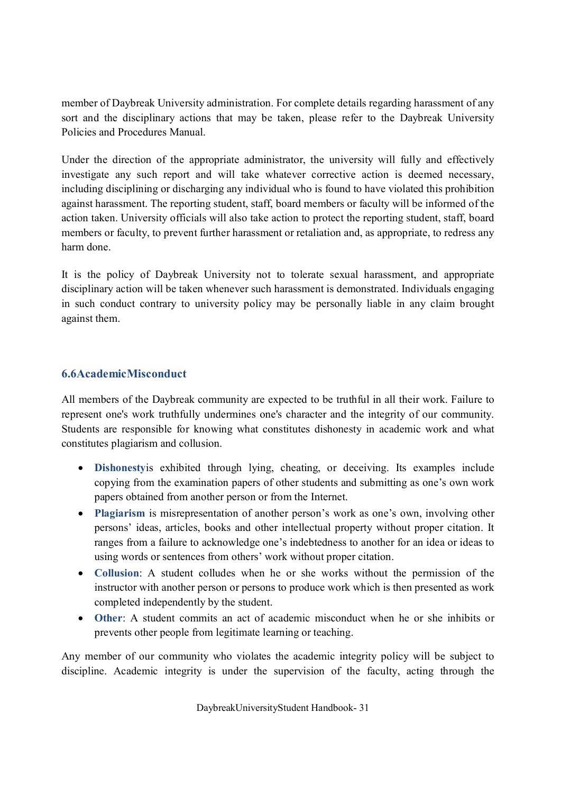member of Daybreak University administration. For complete details regarding harassment of any sort and the disciplinary actions that may be taken, please refer to the Daybreak University Policies and Procedures Manual.

Under the direction of the appropriate administrator, the university will fully and effectively investigate any such report and will take whatever corrective action is deemed necessary, including disciplining or discharging any individual who is found to have violated this prohibition against harassment. The reporting student, staff, board members or faculty will be informed of the action taken. University officials will also take action to protect the reporting student, staff, board members or faculty, to prevent further harassment or retaliation and, as appropriate, to redress any harm done.

It is the policy of Daybreak University not to tolerate sexual harassment, and appropriate disciplinary action will be taken whenever such harassment is demonstrated. Individuals engaging in such conduct contrary to university policy may be personally liable in any claim brought against them.

# **6.6AcademicMisconduct**

All members of the Daybreak community are expected to be truthful in all their work. Failure to represent one's work truthfully undermines one's character and the integrity of our community. Students are responsible for knowing what constitutes dishonesty in academic work and what constitutes plagiarism and collusion.

- · **Dishonesty**is exhibited through lying, cheating, or deceiving. Its examples include copying from the examination papers of other students and submitting as one's own work papers obtained from another person or from the Internet.
- · **Plagiarism** is misrepresentation of another person's work as one's own, involving other persons' ideas, articles, books and other intellectual property without proper citation. It ranges from a failure to acknowledge one's indebtedness to another for an idea or ideas to using words or sentences from others' work without proper citation.
- · **Collusion**: A student colludes when he or she works without the permission of the instructor with another person or persons to produce work which is then presented as work completed independently by the student.
- · **Other**: A student commits an act of academic misconduct when he or she inhibits or prevents other people from legitimate learning or teaching.

Any member of our community who violates the academic integrity policy will be subject to discipline. Academic integrity is under the supervision of the faculty, acting through the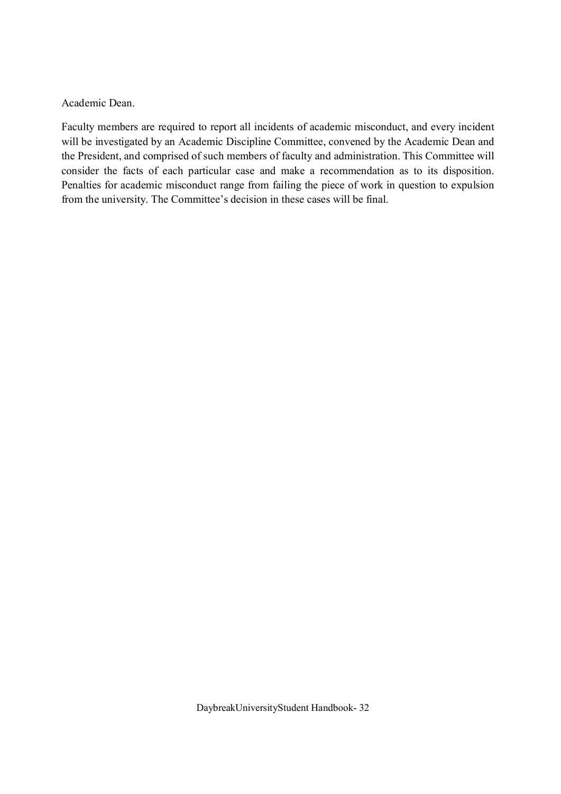Academic Dean.

Faculty members are required to report all incidents of academic misconduct, and every incident will be investigated by an Academic Discipline Committee, convened by the Academic Dean and the President, and comprised of such members of faculty and administration. This Committee will consider the facts of each particular case and make a recommendation as to its disposition. Penalties for academic misconduct range from failing the piece of work in question to expulsion from the university. The Committee's decision in these cases will be final.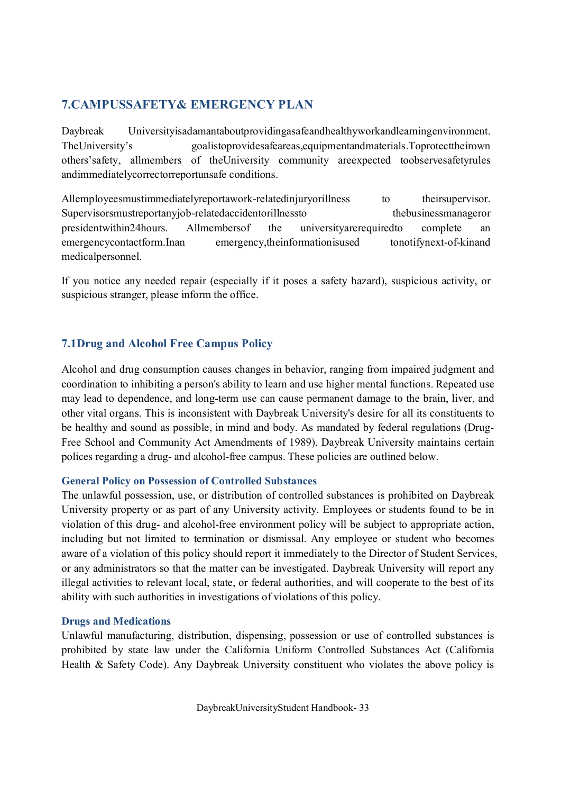# **7.CAMPUSSAFETY& EMERGENCY PLAN**

Daybreak Universityisadamantaboutprovidingasafeandhealthyworkandlearningenvironment. TheUniversity's goalistoprovidesafeareas,equipmentandmaterials.Toprotecttheirown others'safety, allmembers of theUniversity community areexpected toobservesafetyrules andimmediatelycorrectorreportunsafe conditions.

Allemployeesmustimmediatelyreportawork-relatedinjuryorillness to theirsupervisor. Supervisorsmustreportanyjob-relatedaccidentorillnessto thebusinessmanageror presidentwithin24hours. Allmembersof the universityarerequiredto complete emergencycontactform.Inan emergency,theinformationisused tonotifynext-of-kinand medicalpersonnel.

If you notice any needed repair (especially if it poses a safety hazard), suspicious activity, or suspicious stranger, please inform the office.

# **7.1Drug and Alcohol Free Campus Policy**

Alcohol and drug consumption causes changes in behavior, ranging from impaired judgment and coordination to inhibiting a person's ability to learn and use higher mental functions. Repeated use may lead to dependence, and long-term use can cause permanent damage to the brain, liver, and other vital organs. This is inconsistent with Daybreak University's desire for all its constituents to be healthy and sound as possible, in mind and body. As mandated by federal regulations (Drug-Free School and Community Act Amendments of 1989), Daybreak University maintains certain polices regarding a drug- and alcohol-free campus. These policies are outlined below.

### **General Policy on Possession of Controlled Substances**

The unlawful possession, use, or distribution of controlled substances is prohibited on Daybreak University property or as part of any University activity. Employees or students found to be in violation of this drug- and alcohol-free environment policy will be subject to appropriate action, including but not limited to termination or dismissal. Any employee or student who becomes aware of a violation of this policy should report it immediately to the Director of Student Services, or any administrators so that the matter can be investigated. Daybreak University will report any illegal activities to relevant local, state, or federal authorities, and will cooperate to the best of its ability with such authorities in investigations of violations of this policy.

### **Drugs and Medications**

Unlawful manufacturing, distribution, dispensing, possession or use of controlled substances is prohibited by state law under the California Uniform Controlled Substances Act (California Health & Safety Code). Any Daybreak University constituent who violates the above policy is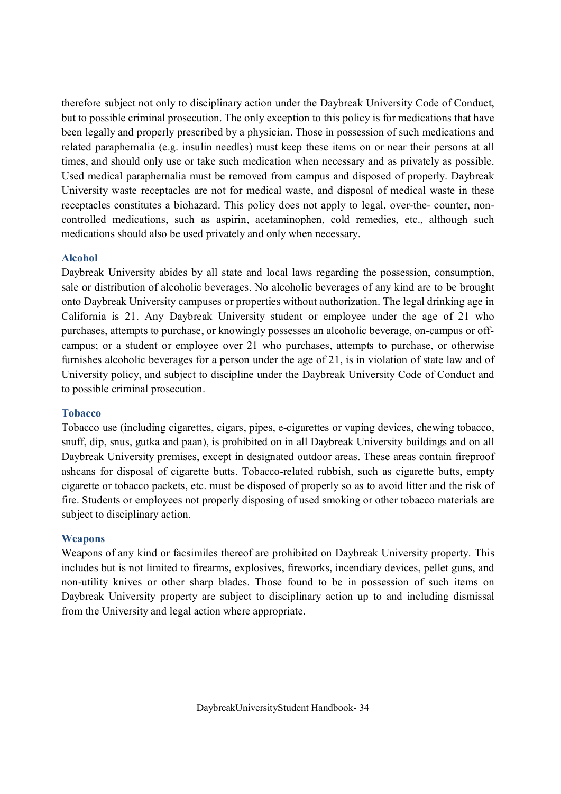therefore subject not only to disciplinary action under the Daybreak University Code of Conduct, but to possible criminal prosecution. The only exception to this policy is for medications that have been legally and properly prescribed by a physician. Those in possession of such medications and related paraphernalia (e.g. insulin needles) must keep these items on or near their persons at all times, and should only use or take such medication when necessary and as privately as possible. Used medical paraphernalia must be removed from campus and disposed of properly. Daybreak University waste receptacles are not for medical waste, and disposal of medical waste in these receptacles constitutes a biohazard. This policy does not apply to legal, over-the- counter, noncontrolled medications, such as aspirin, acetaminophen, cold remedies, etc., although such medications should also be used privately and only when necessary.

#### **Alcohol**

Daybreak University abides by all state and local laws regarding the possession, consumption, sale or distribution of alcoholic beverages. No alcoholic beverages of any kind are to be brought onto Daybreak University campuses or properties without authorization. The legal drinking age in California is 21. Any Daybreak University student or employee under the age of 21 who purchases, attempts to purchase, or knowingly possesses an alcoholic beverage, on-campus or offcampus; or a student or employee over 21 who purchases, attempts to purchase, or otherwise furnishes alcoholic beverages for a person under the age of 21, is in violation of state law and of University policy, and subject to discipline under the Daybreak University Code of Conduct and to possible criminal prosecution.

#### **Tobacco**

Tobacco use (including cigarettes, cigars, pipes, e-cigarettes or vaping devices, chewing tobacco, snuff, dip, snus, gutka and paan), is prohibited on in all Daybreak University buildings and on all Daybreak University premises, except in designated outdoor areas. These areas contain fireproof ashcans for disposal of cigarette butts. Tobacco-related rubbish, such as cigarette butts, empty cigarette or tobacco packets, etc. must be disposed of properly so as to avoid litter and the risk of fire. Students or employees not properly disposing of used smoking or other tobacco materials are subject to disciplinary action.

### **Weapons**

Weapons of any kind or facsimiles thereof are prohibited on Daybreak University property. This includes but is not limited to firearms, explosives, fireworks, incendiary devices, pellet guns, and non-utility knives or other sharp blades. Those found to be in possession of such items on Daybreak University property are subject to disciplinary action up to and including dismissal from the University and legal action where appropriate.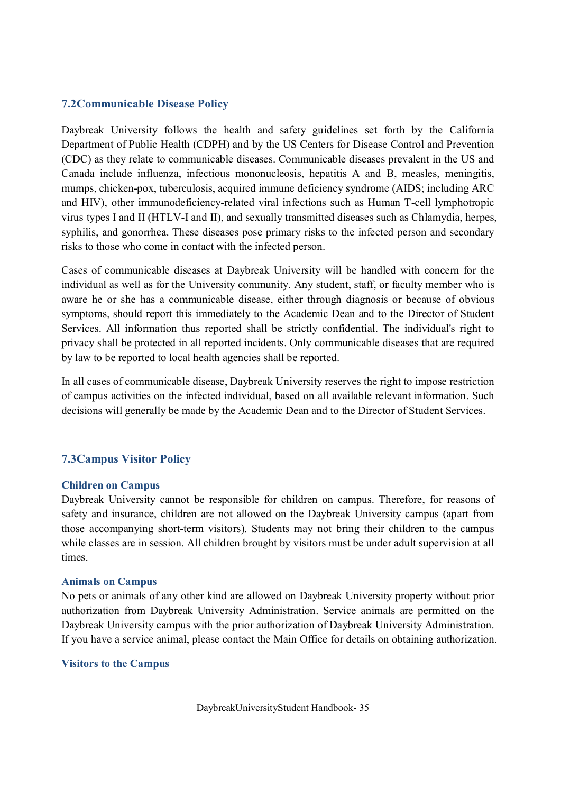# **7.2Communicable Disease Policy**

Daybreak University follows the health and safety guidelines set forth by the California Department of Public Health (CDPH) and by the US Centers for Disease Control and Prevention (CDC) as they relate to communicable diseases. Communicable diseases prevalent in the US and Canada include influenza, infectious mononucleosis, hepatitis A and B, measles, meningitis, mumps, chicken-pox, tuberculosis, acquired immune deficiency syndrome (AIDS; including ARC and HIV), other immunodeficiency-related viral infections such as Human T-cell lymphotropic virus types I and II (HTLV-I and II), and sexually transmitted diseases such as Chlamydia, herpes, syphilis, and gonorrhea. These diseases pose primary risks to the infected person and secondary risks to those who come in contact with the infected person.

Cases of communicable diseases at Daybreak University will be handled with concern for the individual as well as for the University community. Any student, staff, or faculty member who is aware he or she has a communicable disease, either through diagnosis or because of obvious symptoms, should report this immediately to the Academic Dean and to the Director of Student Services. All information thus reported shall be strictly confidential. The individual's right to privacy shall be protected in all reported incidents. Only communicable diseases that are required by law to be reported to local health agencies shall be reported.

In all cases of communicable disease, Daybreak University reserves the right to impose restriction of campus activities on the infected individual, based on all available relevant information. Such decisions will generally be made by the Academic Dean and to the Director of Student Services.

# **7.3Campus Visitor Policy**

### **Children on Campus**

Daybreak University cannot be responsible for children on campus. Therefore, for reasons of safety and insurance, children are not allowed on the Daybreak University campus (apart from those accompanying short-term visitors). Students may not bring their children to the campus while classes are in session. All children brought by visitors must be under adult supervision at all times.

#### **Animals on Campus**

No pets or animals of any other kind are allowed on Daybreak University property without prior authorization from Daybreak University Administration. Service animals are permitted on the Daybreak University campus with the prior authorization of Daybreak University Administration. If you have a service animal, please contact the Main Office for details on obtaining authorization.

#### **Visitors to the Campus**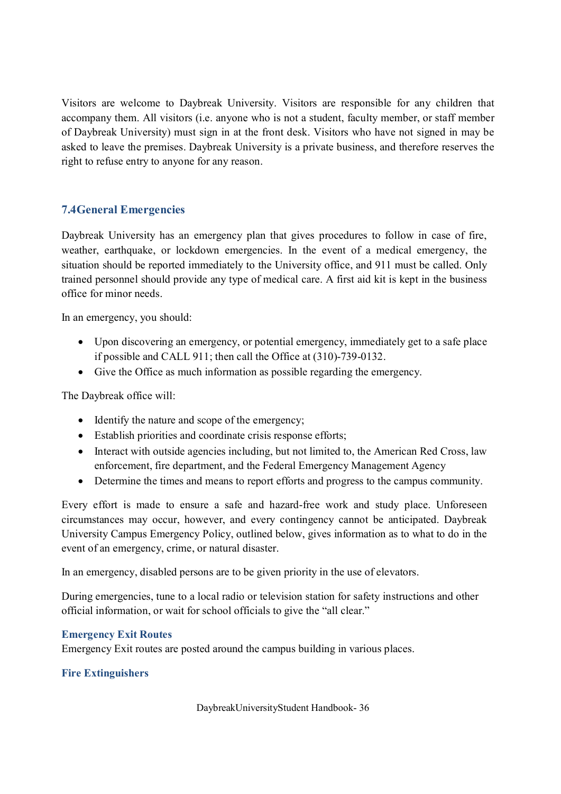Visitors are welcome to Daybreak University. Visitors are responsible for any children that accompany them. All visitors (i.e. anyone who is not a student, faculty member, or staff member of Daybreak University) must sign in at the front desk. Visitors who have not signed in may be asked to leave the premises. Daybreak University is a private business, and therefore reserves the right to refuse entry to anyone for any reason.

# **7.4General Emergencies**

Daybreak University has an emergency plan that gives procedures to follow in case of fire, weather, earthquake, or lockdown emergencies. In the event of a medical emergency, the situation should be reported immediately to the University office, and 911 must be called. Only trained personnel should provide any type of medical care. A first aid kit is kept in the business office for minor needs.

In an emergency, you should:

- Upon discovering an emergency, or potential emergency, immediately get to a safe place if possible and CALL 911; then call the Office at (310)-739-0132.
- · Give the Office as much information as possible regarding the emergency.

The Daybreak office will:

- Identify the nature and scope of the emergency;
- Establish priorities and coordinate crisis response efforts;
- Interact with outside agencies including, but not limited to, the American Red Cross, law enforcement, fire department, and the Federal Emergency Management Agency
- · Determine the times and means to report efforts and progress to the campus community.

Every effort is made to ensure a safe and hazard-free work and study place. Unforeseen circumstances may occur, however, and every contingency cannot be anticipated. Daybreak University Campus Emergency Policy, outlined below, gives information as to what to do in the event of an emergency, crime, or natural disaster.

In an emergency, disabled persons are to be given priority in the use of elevators.

During emergencies, tune to a local radio or television station for safety instructions and other official information, or wait for school officials to give the "all clear."

#### **Emergency Exit Routes**

Emergency Exit routes are posted around the campus building in various places.

### **Fire Extinguishers**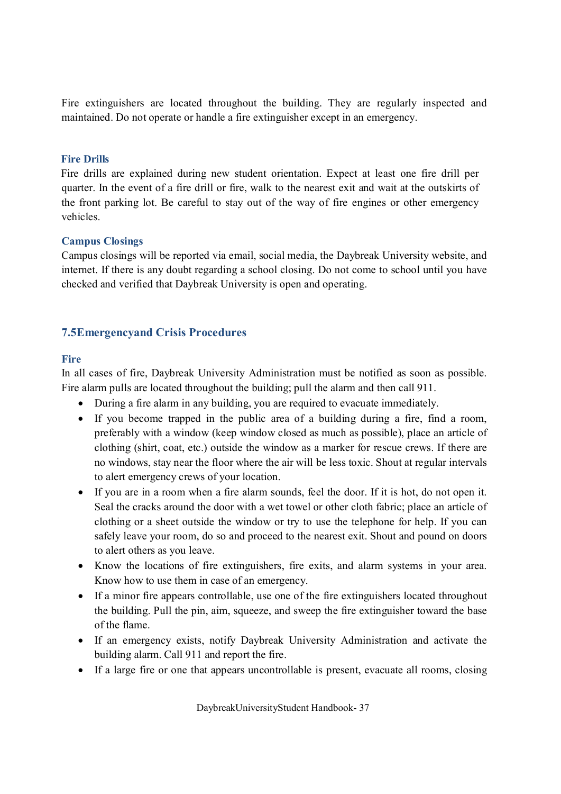Fire extinguishers are located throughout the building. They are regularly inspected and maintained. Do not operate or handle a fire extinguisher except in an emergency.

#### **Fire Drills**

Fire drills are explained during new student orientation. Expect at least one fire drill per quarter. In the event of a fire drill or fire, walk to the nearest exit and wait at the outskirts of the front parking lot. Be careful to stay out of the way of fire engines or other emergency vehicles.

#### **Campus Closings**

Campus closings will be reported via email, social media, the Daybreak University website, and internet. If there is any doubt regarding a school closing. Do not come to school until you have checked and verified that Daybreak University is open and operating.

# **7.5Emergencyand Crisis Procedures**

#### **Fire**

In all cases of fire, Daybreak University Administration must be notified as soon as possible. Fire alarm pulls are located throughout the building; pull the alarm and then call 911.

- · During a fire alarm in any building, you are required to evacuate immediately.
- · If you become trapped in the public area of a building during a fire, find a room, preferably with a window (keep window closed as much as possible), place an article of clothing (shirt, coat, etc.) outside the window as a marker for rescue crews. If there are no windows, stay near the floor where the air will be less toxic. Shout at regular intervals to alert emergency crews of your location.
- · If you are in a room when a fire alarm sounds, feel the door. If it is hot, do not open it. Seal the cracks around the door with a wet towel or other cloth fabric; place an article of clothing or a sheet outside the window or try to use the telephone for help. If you can safely leave your room, do so and proceed to the nearest exit. Shout and pound on doors to alert others as you leave.
- · Know the locations of fire extinguishers, fire exits, and alarm systems in your area. Know how to use them in case of an emergency.
- If a minor fire appears controllable, use one of the fire extinguishers located throughout the building. Pull the pin, aim, squeeze, and sweep the fire extinguisher toward the base of the flame.
- If an emergency exists, notify Daybreak University Administration and activate the building alarm. Call 911 and report the fire.
- If a large fire or one that appears uncontrollable is present, evacuate all rooms, closing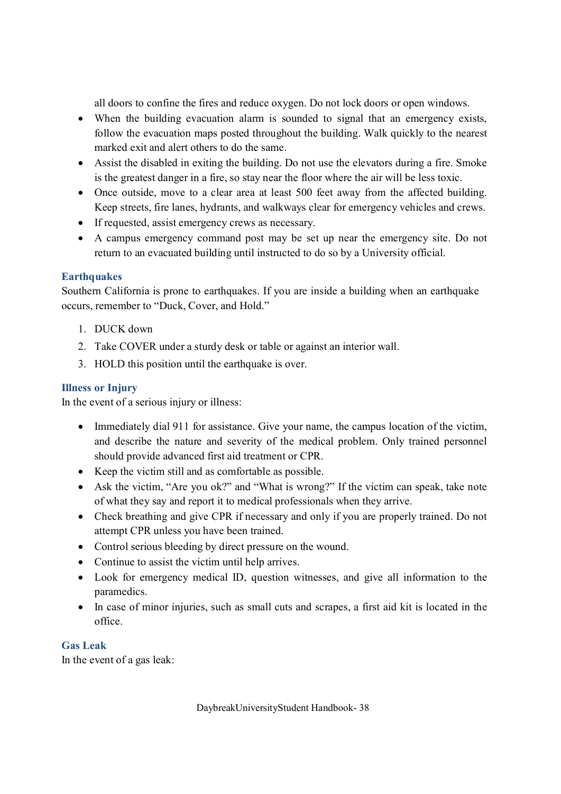all doors to confine the fires and reduce oxygen. Do not lock doors or open windows.

- · When the building evacuation alarm is sounded to signal that an emergency exists, follow the evacuation maps posted throughout the building. Walk quickly to the nearest marked exit and alert others to do the same.
- · Assist the disabled in exiting the building. Do not use the elevators during a fire. Smoke is the greatest danger in a fire, so stay near the floor where the air will be less toxic.
- Once outside, move to a clear area at least 500 feet away from the affected building. Keep streets, fire lanes, hydrants, and walkways clear for emergency vehicles and crews.
- · If requested, assist emergency crews as necessary.
- · A campus emergency command post may be set up near the emergency site. Do not return to an evacuated building until instructed to do so by a University official.

# **Earthquakes**

Southern California is prone to earthquakes. If you are inside a building when an earthquake occurs, remember to "Duck, Cover, and Hold."

- 1. DUCK down
- 2. Take COVER under a sturdy desk or table or against an interior wall.
- 3. HOLD this position until the earthquake is over.

# **Illness or Injury**

In the event of a serious injury or illness:

- Immediately dial 911 for assistance. Give your name, the campus location of the victim, and describe the nature and severity of the medical problem. Only trained personnel should provide advanced first aid treatment or CPR.
- · Keep the victim still and as comfortable as possible.
- Ask the victim, "Are you ok?" and "What is wrong?" If the victim can speak, take note of what they say and report it to medical professionals when they arrive.
- Check breathing and give CPR if necessary and only if you are properly trained. Do not attempt CPR unless you have been trained.
- Control serious bleeding by direct pressure on the wound.
- · Continue to assist the victim until help arrives.
- · Look for emergency medical ID, question witnesses, and give all information to the paramedics.
- In case of minor injuries, such as small cuts and scrapes, a first aid kit is located in the office.

### **Gas Leak**

In the event of a gas leak: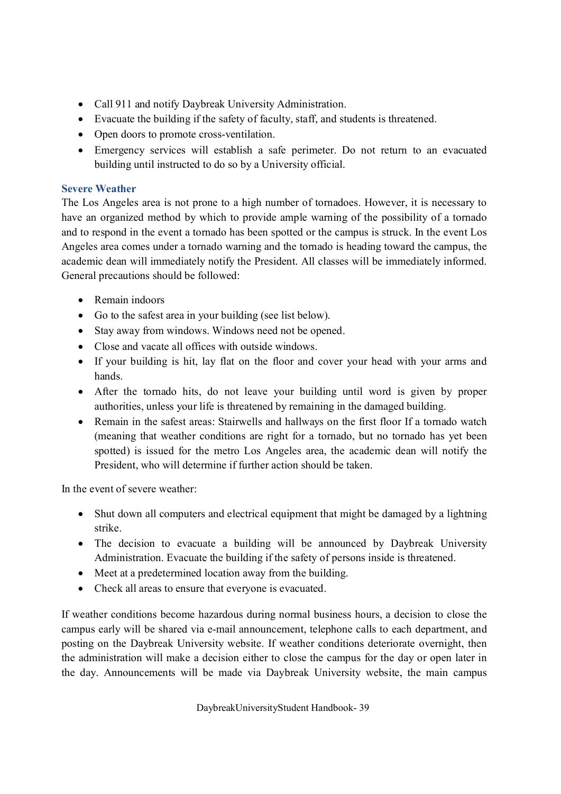- Call 911 and notify Daybreak University Administration.
- · Evacuate the building if the safety of faculty, staff, and students is threatened.
- Open doors to promote cross-ventilation.
- · Emergency services will establish a safe perimeter. Do not return to an evacuated building until instructed to do so by a University official.

# **Severe Weather**

The Los Angeles area is not prone to a high number of tornadoes. However, it is necessary to have an organized method by which to provide ample warning of the possibility of a tornado and to respond in the event a tornado has been spotted or the campus is struck. In the event Los Angeles area comes under a tornado warning and the tornado is heading toward the campus, the academic dean will immediately notify the President. All classes will be immediately informed. General precautions should be followed:

- Remain indoors
- Go to the safest area in your building (see list below).
- Stay away from windows. Windows need not be opened.
- · Close and vacate all offices with outside windows.
- If your building is hit, lay flat on the floor and cover your head with your arms and hands.
- · After the tornado hits, do not leave your building until word is given by proper authorities, unless your life is threatened by remaining in the damaged building.
- · Remain in the safest areas: Stairwells and hallways on the first floor If a tornado watch (meaning that weather conditions are right for a tornado, but no tornado has yet been spotted) is issued for the metro Los Angeles area, the academic dean will notify the President, who will determine if further action should be taken.

In the event of severe weather:

- Shut down all computers and electrical equipment that might be damaged by a lightning strike.
- The decision to evacuate a building will be announced by Daybreak University Administration. Evacuate the building if the safety of persons inside is threatened.
- Meet at a predetermined location away from the building.
- · Check all areas to ensure that everyone is evacuated.

If weather conditions become hazardous during normal business hours, a decision to close the campus early will be shared via e-mail announcement, telephone calls to each department, and posting on the Daybreak University website. If weather conditions deteriorate overnight, then the administration will make a decision either to close the campus for the day or open later in the day. Announcements will be made via Daybreak University website, the main campus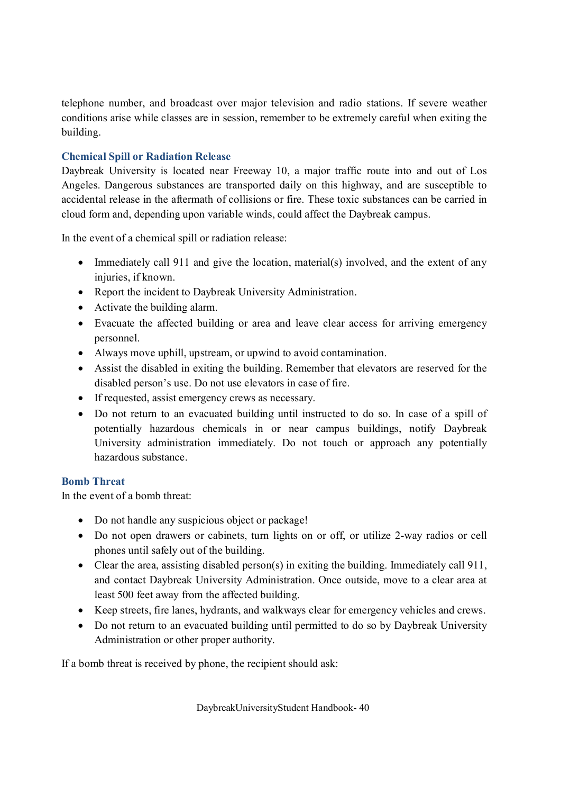telephone number, and broadcast over major television and radio stations. If severe weather conditions arise while classes are in session, remember to be extremely careful when exiting the building.

### **Chemical Spill or Radiation Release**

Daybreak University is located near Freeway 10, a major traffic route into and out of Los Angeles. Dangerous substances are transported daily on this highway, and are susceptible to accidental release in the aftermath of collisions or fire. These toxic substances can be carried in cloud form and, depending upon variable winds, could affect the Daybreak campus.

In the event of a chemical spill or radiation release:

- Immediately call 911 and give the location, material(s) involved, and the extent of any injuries, if known.
- Report the incident to Daybreak University Administration.
- · Activate the building alarm.
- · Evacuate the affected building or area and leave clear access for arriving emergency personnel.
- · Always move uphill, upstream, or upwind to avoid contamination.
- · Assist the disabled in exiting the building. Remember that elevators are reserved for the disabled person's use. Do not use elevators in case of fire.
- · If requested, assist emergency crews as necessary.
- · Do not return to an evacuated building until instructed to do so. In case of a spill of potentially hazardous chemicals in or near campus buildings, notify Daybreak University administration immediately. Do not touch or approach any potentially hazardous substance.

# **Bomb Threat**

In the event of a bomb threat:

- Do not handle any suspicious object or package!
- · Do not open drawers or cabinets, turn lights on or off, or utilize 2-way radios or cell phones until safely out of the building.
- Clear the area, assisting disabled person(s) in exiting the building. Immediately call 911, and contact Daybreak University Administration. Once outside, move to a clear area at least 500 feet away from the affected building.
- · Keep streets, fire lanes, hydrants, and walkways clear for emergency vehicles and crews.
- Do not return to an evacuated building until permitted to do so by Daybreak University Administration or other proper authority.

If a bomb threat is received by phone, the recipient should ask: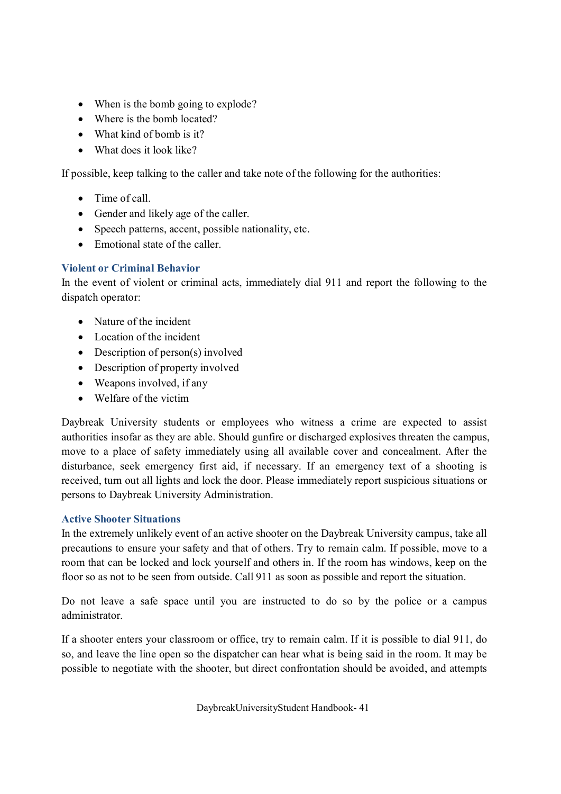- When is the bomb going to explode?
- Where is the bomb located?
- What kind of bomb is it?
- What does it look like?

If possible, keep talking to the caller and take note of the following for the authorities:

- Time of call.
- · Gender and likely age of the caller.
- Speech patterns, accent, possible nationality, etc.
- Emotional state of the caller

### **Violent or Criminal Behavior**

In the event of violent or criminal acts, immediately dial 911 and report the following to the dispatch operator:

- Nature of the incident
- Location of the incident
- Description of person(s) involved
- Description of property involved
- Weapons involved, if any
- · Welfare of the victim

Daybreak University students or employees who witness a crime are expected to assist authorities insofar as they are able. Should gunfire or discharged explosives threaten the campus, move to a place of safety immediately using all available cover and concealment. After the disturbance, seek emergency first aid, if necessary. If an emergency text of a shooting is received, turn out all lights and lock the door. Please immediately report suspicious situations or persons to Daybreak University Administration.

### **Active Shooter Situations**

In the extremely unlikely event of an active shooter on the Daybreak University campus, take all precautions to ensure your safety and that of others. Try to remain calm. If possible, move to a room that can be locked and lock yourself and others in. If the room has windows, keep on the floor so as not to be seen from outside. Call 911 as soon as possible and report the situation.

Do not leave a safe space until you are instructed to do so by the police or a campus administrator.

If a shooter enters your classroom or office, try to remain calm. If it is possible to dial 911, do so, and leave the line open so the dispatcher can hear what is being said in the room. It may be possible to negotiate with the shooter, but direct confrontation should be avoided, and attempts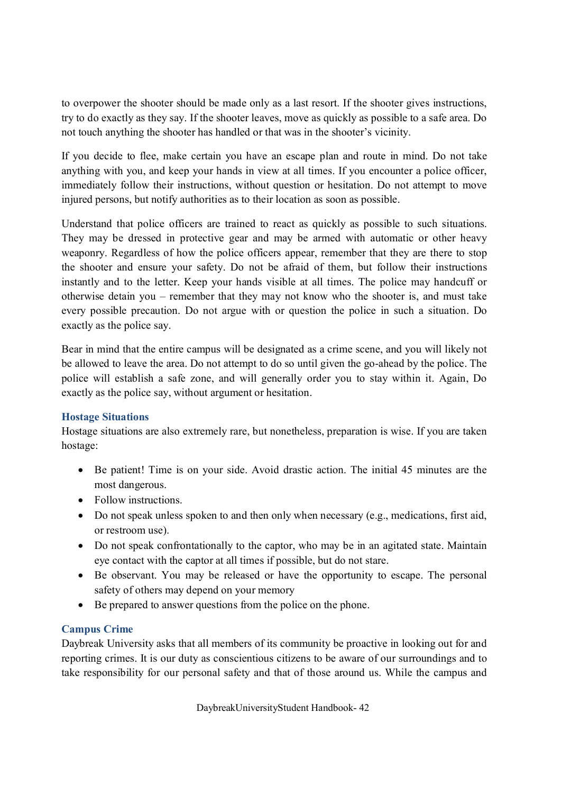to overpower the shooter should be made only as a last resort. If the shooter gives instructions, try to do exactly as they say. If the shooter leaves, move as quickly as possible to a safe area. Do not touch anything the shooter has handled or that was in the shooter's vicinity.

If you decide to flee, make certain you have an escape plan and route in mind. Do not take anything with you, and keep your hands in view at all times. If you encounter a police officer, immediately follow their instructions, without question or hesitation. Do not attempt to move injured persons, but notify authorities as to their location as soon as possible.

Understand that police officers are trained to react as quickly as possible to such situations. They may be dressed in protective gear and may be armed with automatic or other heavy weaponry. Regardless of how the police officers appear, remember that they are there to stop the shooter and ensure your safety. Do not be afraid of them, but follow their instructions instantly and to the letter. Keep your hands visible at all times. The police may handcuff or otherwise detain you – remember that they may not know who the shooter is, and must take every possible precaution. Do not argue with or question the police in such a situation. Do exactly as the police say.

Bear in mind that the entire campus will be designated as a crime scene, and you will likely not be allowed to leave the area. Do not attempt to do so until given the go-ahead by the police. The police will establish a safe zone, and will generally order you to stay within it. Again, Do exactly as the police say, without argument or hesitation.

### **Hostage Situations**

Hostage situations are also extremely rare, but nonetheless, preparation is wise. If you are taken hostage:

- Be patient! Time is on your side. Avoid drastic action. The initial 45 minutes are the most dangerous.
- Follow instructions.
- · Do not speak unless spoken to and then only when necessary (e.g., medications, first aid, or restroom use).
- Do not speak confrontationally to the captor, who may be in an agitated state. Maintain eye contact with the captor at all times if possible, but do not stare.
- · Be observant. You may be released or have the opportunity to escape. The personal safety of others may depend on your memory
- · Be prepared to answer questions from the police on the phone.

### **Campus Crime**

Daybreak University asks that all members of its community be proactive in looking out for and reporting crimes. It is our duty as conscientious citizens to be aware of our surroundings and to take responsibility for our personal safety and that of those around us. While the campus and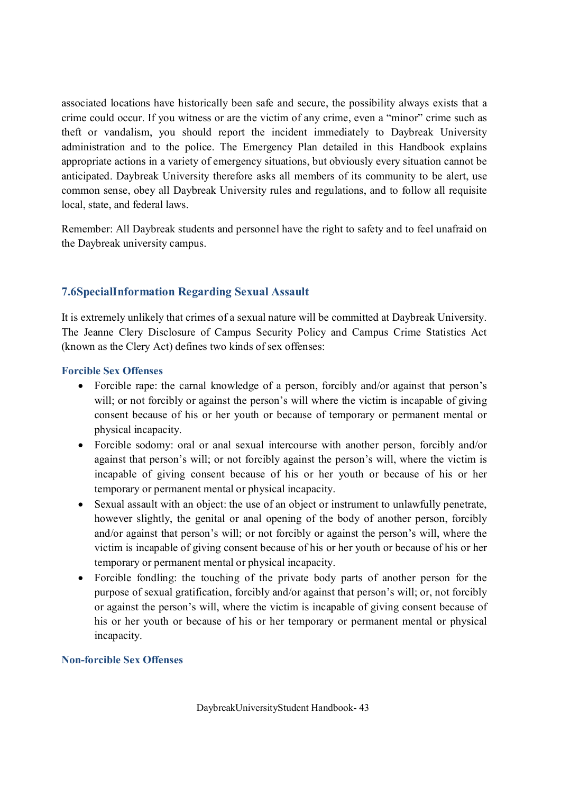associated locations have historically been safe and secure, the possibility always exists that a crime could occur. If you witness or are the victim of any crime, even a "minor" crime such as theft or vandalism, you should report the incident immediately to Daybreak University administration and to the police. The Emergency Plan detailed in this Handbook explains appropriate actions in a variety of emergency situations, but obviously every situation cannot be anticipated. Daybreak University therefore asks all members of its community to be alert, use common sense, obey all Daybreak University rules and regulations, and to follow all requisite local, state, and federal laws.

Remember: All Daybreak students and personnel have the right to safety and to feel unafraid on the Daybreak university campus.

# **7.6SpecialInformation Regarding Sexual Assault**

It is extremely unlikely that crimes of a sexual nature will be committed at Daybreak University. The Jeanne Clery Disclosure of Campus Security Policy and Campus Crime Statistics Act (known as the Clery Act) defines two kinds of sex offenses:

### **Forcible Sex Offenses**

- · Forcible rape: the carnal knowledge of a person, forcibly and/or against that person's will; or not forcibly or against the person's will where the victim is incapable of giving consent because of his or her youth or because of temporary or permanent mental or physical incapacity.
- Forcible sodomy: oral or anal sexual intercourse with another person, forcibly and/or against that person's will; or not forcibly against the person's will, where the victim is incapable of giving consent because of his or her youth or because of his or her temporary or permanent mental or physical incapacity.
- · Sexual assault with an object: the use of an object or instrument to unlawfully penetrate, however slightly, the genital or anal opening of the body of another person, forcibly and/or against that person's will; or not forcibly or against the person's will, where the victim is incapable of giving consent because of his or her youth or because of his or her temporary or permanent mental or physical incapacity.
- · Forcible fondling: the touching of the private body parts of another person for the purpose of sexual gratification, forcibly and/or against that person's will; or, not forcibly or against the person's will, where the victim is incapable of giving consent because of his or her youth or because of his or her temporary or permanent mental or physical incapacity.

### **Non-forcible Sex Offenses**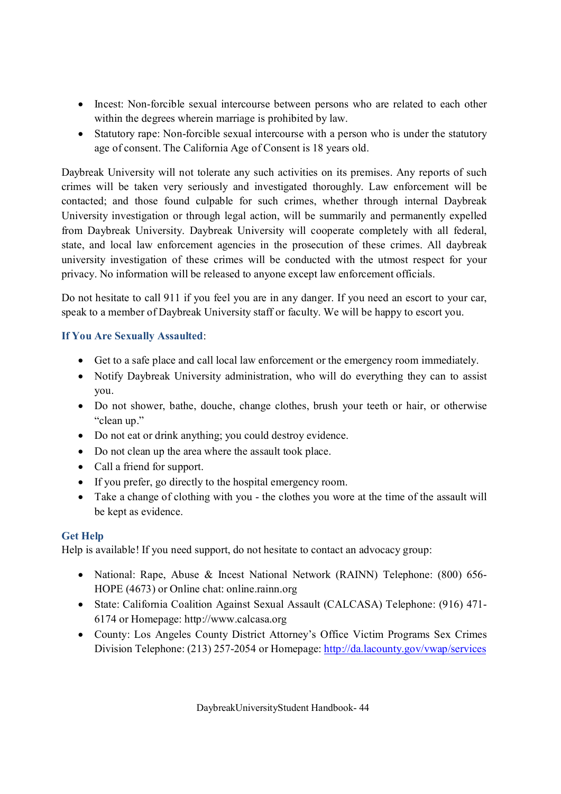- · Incest: Non-forcible sexual intercourse between persons who are related to each other within the degrees wherein marriage is prohibited by law.
- Statutory rape: Non-forcible sexual intercourse with a person who is under the statutory age of consent. The California Age of Consent is 18 years old.

Daybreak University will not tolerate any such activities on its premises. Any reports of such crimes will be taken very seriously and investigated thoroughly. Law enforcement will be contacted; and those found culpable for such crimes, whether through internal Daybreak University investigation or through legal action, will be summarily and permanently expelled from Daybreak University. Daybreak University will cooperate completely with all federal, state, and local law enforcement agencies in the prosecution of these crimes. All daybreak university investigation of these crimes will be conducted with the utmost respect for your privacy. No information will be released to anyone except law enforcement officials.

Do not hesitate to call 911 if you feel you are in any danger. If you need an escort to your car, speak to a member of Daybreak University staff or faculty. We will be happy to escort you.

# **If You Are Sexually Assaulted**:

- · Get to a safe place and call local law enforcement or the emergency room immediately.
- Notify Daybreak University administration, who will do everything they can to assist you.
- Do not shower, bathe, douche, change clothes, brush your teeth or hair, or otherwise "clean up."
- Do not eat or drink anything; you could destroy evidence.
- · Do not clean up the area where the assault took place.
- Call a friend for support.
- · If you prefer, go directly to the hospital emergency room.
- · Take a change of clothing with you the clothes you wore at the time of the assault will be kept as evidence.

# **Get Help**

Help is available! If you need support, do not hesitate to contact an advocacy group:

- National: Rape, Abuse & Incest National Network (RAINN) Telephone: (800) 656-HOPE (4673) or Online chat: online.rainn.org
- · State: California Coalition Against Sexual Assault (CALCASA) Telephone: (916) 471- 6174 or Homepage: http://www.calcasa.org
- · County: Los Angeles County District Attorney's Office Victim Programs Sex Crimes Division Telephone: (213) 257-2054 or Homepage: http://da.lacounty.gov/vwap/services